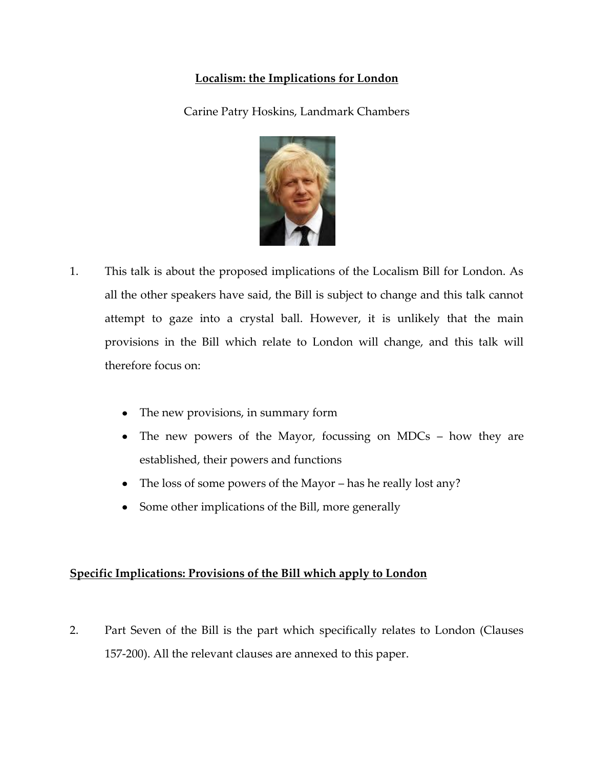# **Localism: the Implications for London**

Carine Patry Hoskins, Landmark Chambers



- 1. This talk is about the proposed implications of the Localism Bill for London. As all the other speakers have said, the Bill is subject to change and this talk cannot attempt to gaze into a crystal ball. However, it is unlikely that the main provisions in the Bill which relate to London will change, and this talk will therefore focus on:
	- The new provisions, in summary form  $\bullet$
	- The new powers of the Mayor, focussing on MDCs how they are established, their powers and functions
	- The loss of some powers of the Mayor has he really lost any?
	- Some other implications of the Bill, more generally  $\bullet$

# **Specific Implications: Provisions of the Bill which apply to London**

2. Part Seven of the Bill is the part which specifically relates to London (Clauses 157-200). All the relevant clauses are annexed to this paper.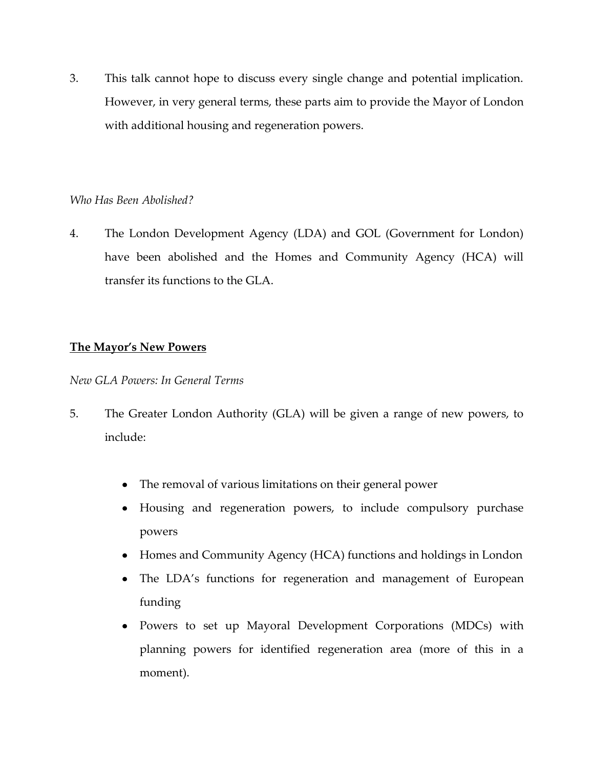3. This talk cannot hope to discuss every single change and potential implication. However, in very general terms, these parts aim to provide the Mayor of London with additional housing and regeneration powers.

## *Who Has Been Abolished?*

4. The London Development Agency (LDA) and GOL (Government for London) have been abolished and the Homes and Community Agency (HCA) will transfer its functions to the GLA.

## **The Mayor's New Powers**

*New GLA Powers: In General Terms*

- 5. The Greater London Authority (GLA) will be given a range of new powers, to include:
	- The removal of various limitations on their general power  $\bullet$
	- $\bullet$ Housing and regeneration powers, to include compulsory purchase powers
	- Homes and Community Agency (HCA) functions and holdings in London
	- $\bullet$ The LDA's functions for regeneration and management of European funding
	- Powers to set up Mayoral Development Corporations (MDCs) with planning powers for identified regeneration area (more of this in a moment).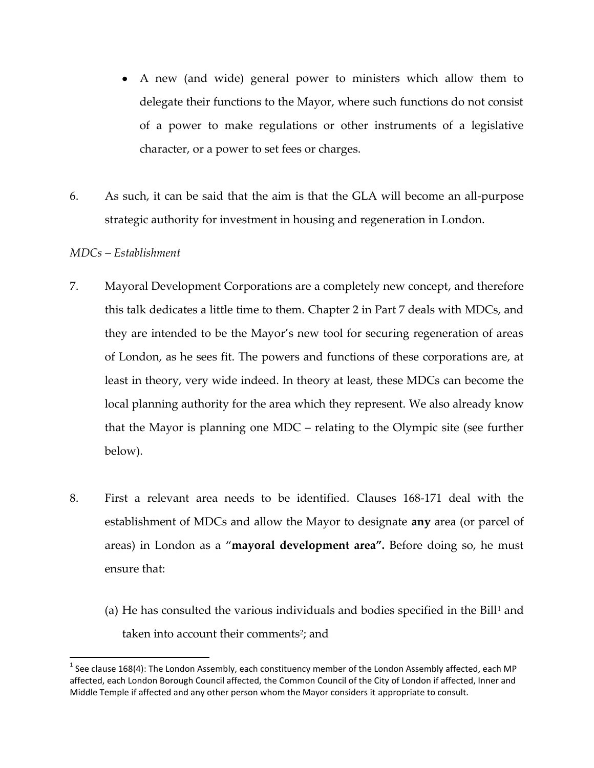- A new (and wide) general power to ministers which allow them to delegate their functions to the Mayor, where such functions do not consist of a power to make regulations or other instruments of a legislative character, or a power to set fees or charges.
- 6. As such, it can be said that the aim is that the GLA will become an all-purpose strategic authority for investment in housing and regeneration in London.

## *MDCs – Establishment*

 $\overline{\phantom{a}}$ 

- 7. Mayoral Development Corporations are a completely new concept, and therefore this talk dedicates a little time to them. Chapter 2 in Part 7 deals with MDCs, and they are intended to be the Mayor's new tool for securing regeneration of areas of London, as he sees fit. The powers and functions of these corporations are, at least in theory, very wide indeed. In theory at least, these MDCs can become the local planning authority for the area which they represent. We also already know that the Mayor is planning one MDC – relating to the Olympic site (see further below).
- 8. First a relevant area needs to be identified. Clauses 168-171 deal with the establishment of MDCs and allow the Mayor to designate **any** area (or parcel of areas) in London as a '**mayoral development area".** Before doing so, he must ensure that:
	- (a) He has consulted the various individuals and bodies specified in the Bill<sup>1</sup> and taken into account their comments<sup>2</sup>; and

 $^1$  See clause 168(4): The London Assembly, each constituency member of the London Assembly affected, each MP affected, each London Borough Council affected, the Common Council of the City of London if affected, Inner and Middle Temple if affected and any other person whom the Mayor considers it appropriate to consult.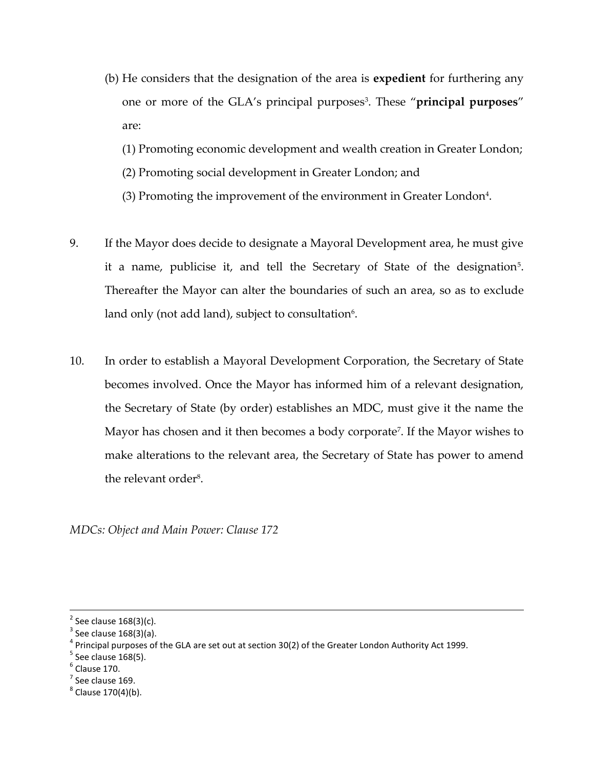- (b) He considers that the designation of the area is **expedient** for furthering any one or more of the GLA's principal purposes<sup>3</sup>. These "**principal purposes**" are:
	- (1) Promoting economic development and wealth creation in Greater London;
	- (2) Promoting social development in Greater London; and
	- $(3)$  Promoting the improvement of the environment in Greater London<sup>4</sup>.
- 9. If the Mayor does decide to designate a Mayoral Development area, he must give it a name, publicise it, and tell the Secretary of State of the designation<sup>5</sup>. Thereafter the Mayor can alter the boundaries of such an area, so as to exclude land only (not add land), subject to consultation $^6\!\!$ .
- 10. In order to establish a Mayoral Development Corporation, the Secretary of State becomes involved. Once the Mayor has informed him of a relevant designation, the Secretary of State (by order) establishes an MDC, must give it the name the Mayor has chosen and it then becomes a body corporate<sup>7</sup>. If the Mayor wishes to make alterations to the relevant area, the Secretary of State has power to amend the relevant order<sup>8</sup>.

*MDCs: Object and Main Power: Clause 172*

 $<sup>6</sup>$  Clause 170.</sup>

 $\overline{\phantom{a}}$ 

 $<sup>7</sup>$  See clause 169.</sup>

 $2$  See clause 168(3)(c).

 $3$  See clause 168(3)(a).

 $^4$  Principal purposes of the GLA are set out at section 30(2) of the Greater London Authority Act 1999.

 $<sup>5</sup>$  See clause 168(5).</sup>

<sup>&</sup>lt;sup>8</sup> Clause 170(4)(b).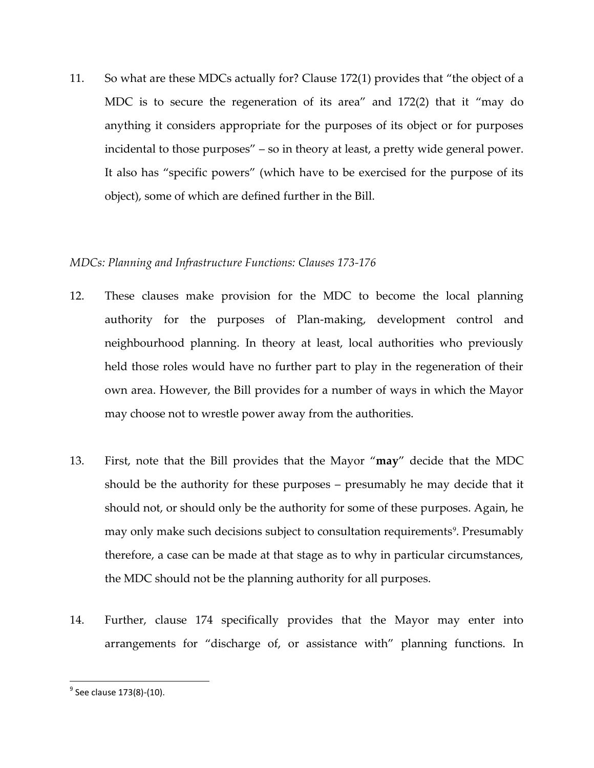11. So what are these MDCs actually for? Clause 172(1) provides that 'the object of a MDC is to secure the regeneration of its area' and 172(2) that it 'may do anything it considers appropriate for the purposes of its object or for purposes incidental to those purposes' – so in theory at least, a pretty wide general power. It also has 'specific powers' (which have to be exercised for the purpose of its object), some of which are defined further in the Bill.

## *MDCs: Planning and Infrastructure Functions: Clauses 173-176*

- 12. These clauses make provision for the MDC to become the local planning authority for the purposes of Plan-making, development control and neighbourhood planning. In theory at least, local authorities who previously held those roles would have no further part to play in the regeneration of their own area. However, the Bill provides for a number of ways in which the Mayor may choose not to wrestle power away from the authorities.
- 13. First, note that the Bill provides that the Mayor '**may**' decide that the MDC should be the authority for these purposes – presumably he may decide that it should not, or should only be the authority for some of these purposes. Again, he may only make such decisions subject to consultation requirements<sup>9</sup>. Presumably therefore, a case can be made at that stage as to why in particular circumstances, the MDC should not be the planning authority for all purposes.
- 14. Further, clause 174 specifically provides that the Mayor may enter into arrangements for 'discharge of, or assistance with' planning functions. In

 $\overline{\phantom{a}}$ 

<sup>&</sup>lt;sup>9</sup> See clause 173(8)-(10).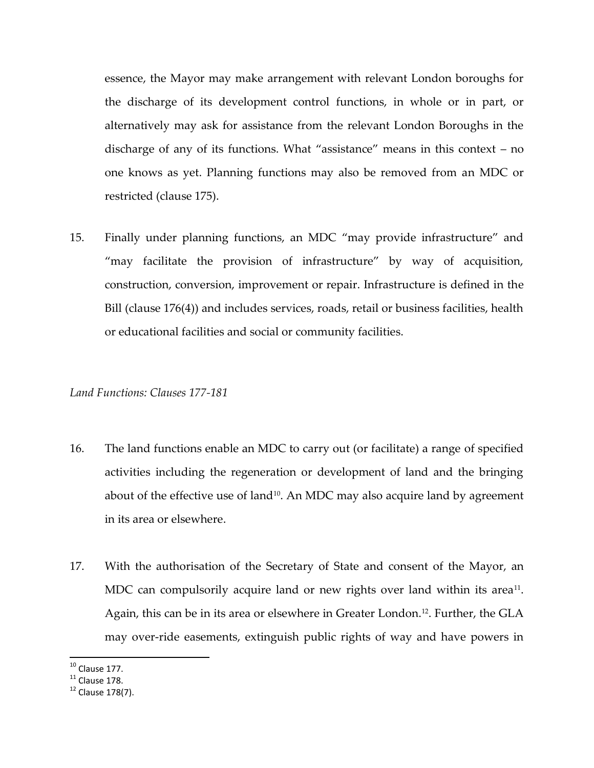essence, the Mayor may make arrangement with relevant London boroughs for the discharge of its development control functions, in whole or in part, or alternatively may ask for assistance from the relevant London Boroughs in the discharge of any of its functions. What 'assistance' means in this context – no one knows as yet. Planning functions may also be removed from an MDC or restricted (clause 175).

15. Finally under planning functions, an MDC 'may provide infrastructure' and 'may facilitate the provision of infrastructure' by way of acquisition, construction, conversion, improvement or repair. Infrastructure is defined in the Bill (clause 176(4)) and includes services, roads, retail or business facilities, health or educational facilities and social or community facilities.

#### *Land Functions: Clauses 177-181*

- 16. The land functions enable an MDC to carry out (or facilitate) a range of specified activities including the regeneration or development of land and the bringing about of the effective use of land<sup>10</sup>. An MDC may also acquire land by agreement in its area or elsewhere.
- 17. With the authorisation of the Secretary of State and consent of the Mayor, an MDC can compulsorily acquire land or new rights over land within its area $^{\rm 11}.$ Again, this can be in its area or elsewhere in Greater London.12. Further, the GLA may over-ride easements, extinguish public rights of way and have powers in

 $\overline{\phantom{a}}$  $10$  Clause 177.

 $^{11}$  Clause 178.

 $12$  Clause 178(7).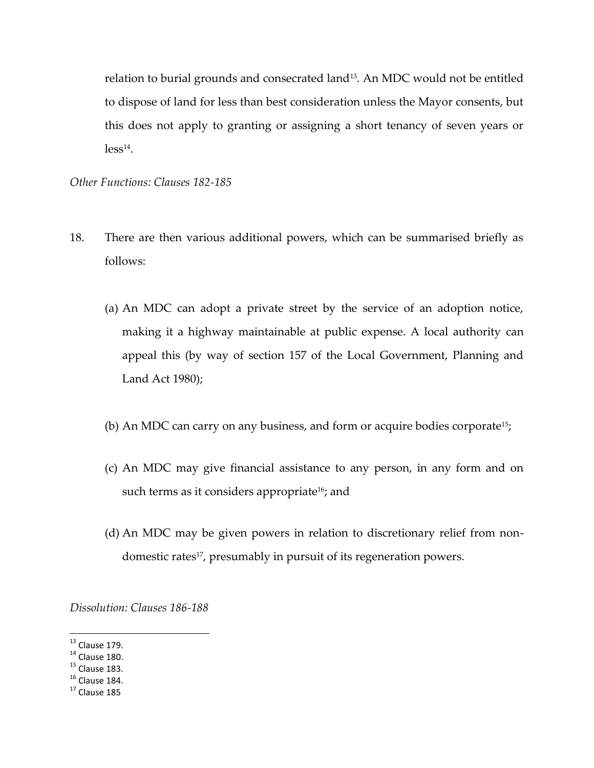relation to burial grounds and consecrated land<sup>13</sup> . An MDC would not be entitled to dispose of land for less than best consideration unless the Mayor consents, but this does not apply to granting or assigning a short tenancy of seven years or  $less<sup>14</sup>$ .

*Other Functions: Clauses 182-185*

- 18. There are then various additional powers, which can be summarised briefly as follows:
	- (a) An MDC can adopt a private street by the service of an adoption notice, making it a highway maintainable at public expense. A local authority can appeal this (by way of section 157 of the Local Government, Planning and Land Act 1980);
	- (b) An MDC can carry on any business, and form or acquire bodies corporate<sup>15</sup>;
	- (c) An MDC may give financial assistance to any person, in any form and on such terms as it considers appropriate<sup>16</sup>; and
	- (d) An MDC may be given powers in relation to discretionary relief from nondomestic rates<sup>17</sup>, presumably in pursuit of its regeneration powers.

*Dissolution: Clauses 186-188*

l

 $13$  Clause 179.

 $14$  Clause 180.

 $15$  Clause 183.

 $16$  Clause 184.

 $17$  Clause 185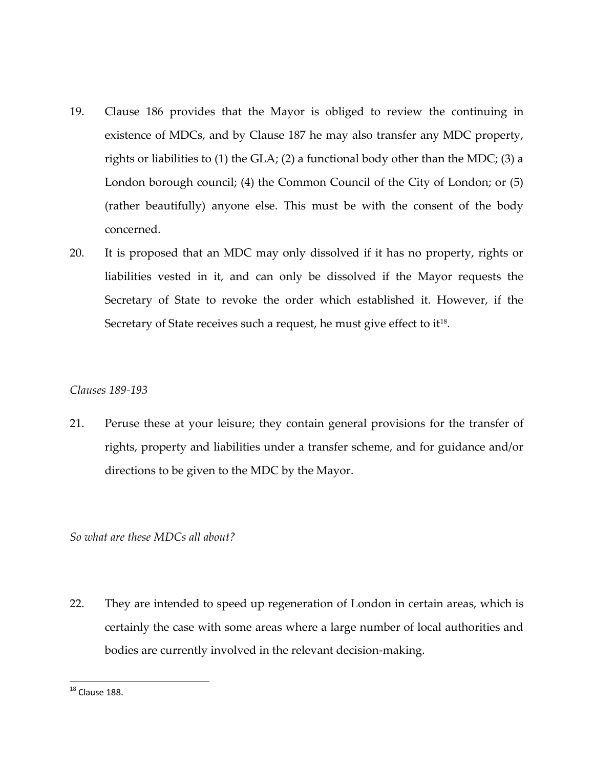- 19. Clause 186 provides that the Mayor is obliged to review the continuing in existence of MDCs, and by Clause 187 he may also transfer any MDC property, rights or liabilities to (1) the GLA; (2) a functional body other than the MDC; (3) a London borough council; (4) the Common Council of the City of London; or (5) (rather beautifully) anyone else. This must be with the consent of the body concerned.
- 20. It is proposed that an MDC may only dissolved if it has no property, rights or liabilities vested in it, and can only be dissolved if the Mayor requests the Secretary of State to revoke the order which established it. However, if the Secretary of State receives such a request, he must give effect to it $^{\scriptscriptstyle 18}$ .

## *Clauses 189-193*

21. Peruse these at your leisure; they contain general provisions for the transfer of rights, property and liabilities under a transfer scheme, and for guidance and/or directions to be given to the MDC by the Mayor.

*So what are these MDCs all about?*

22. They are intended to speed up regeneration of London in certain areas, which is certainly the case with some areas where a large number of local authorities and bodies are currently involved in the relevant decision-making.

 $\overline{\phantom{a}}$ 

 $^{18}$  Clause 188.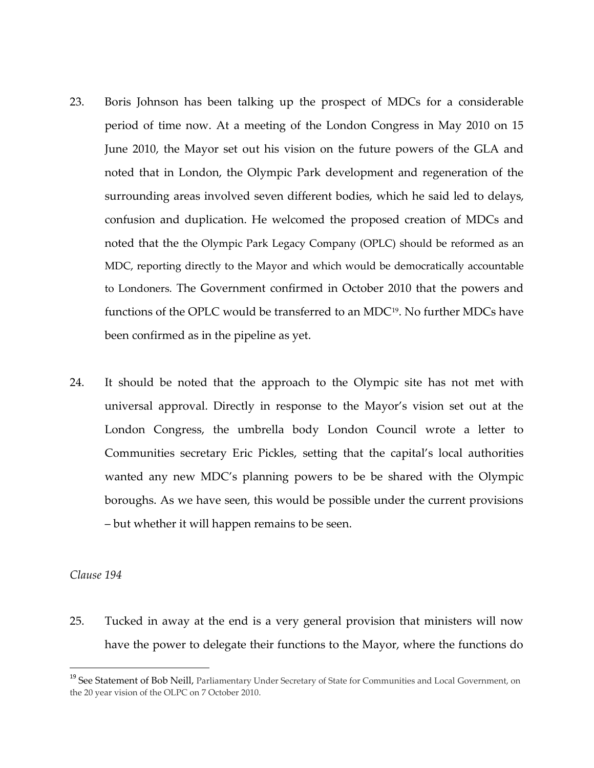- 23. Boris Johnson has been talking up the prospect of MDCs for a considerable period of time now. At a meeting of the London Congress in May 2010 on 15 June 2010, the Mayor set out his vision on the future powers of the GLA and noted that in London, the Olympic Park development and regeneration of the surrounding areas involved seven different bodies, which he said led to delays, confusion and duplication. He welcomed the proposed creation of MDCs and noted that the the Olympic Park Legacy Company (OPLC) should be reformed as an MDC, reporting directly to the Mayor and which would be democratically accountable to Londoners. The Government confirmed in October 2010 that the powers and functions of the OPLC would be transferred to an MDC<sup>19</sup>. No further MDCs have been confirmed as in the pipeline as yet.
- 24. It should be noted that the approach to the Olympic site has not met with universal approval. Directly in response to the Mayor's vision set out at the London Congress, the umbrella body London Council wrote a letter to Communities secretary Eric Pickles, setting that the capital's local authorities wanted any new MDC's planning powers to be be shared with the Olympic boroughs. As we have seen, this would be possible under the current provisions – but whether it will happen remains to be seen.

*Clause 194*

 $\overline{\phantom{a}}$ 

25. Tucked in away at the end is a very general provision that ministers will now have the power to delegate their functions to the Mayor, where the functions do

<sup>&</sup>lt;sup>19</sup> See Statement of Bob Neill, Parliamentary Under Secretary of State for Communities and Local Government, on the 20 year vision of the OLPC on 7 October 2010.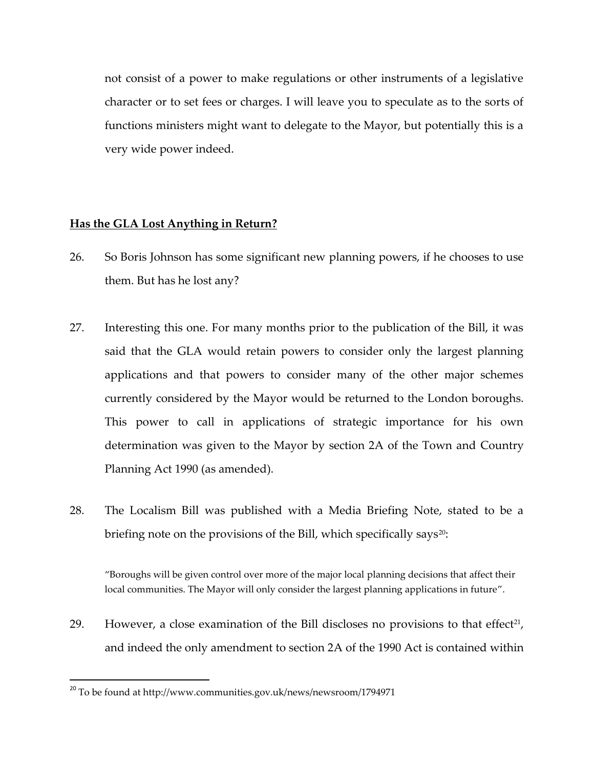not consist of a power to make regulations or other instruments of a legislative character or to set fees or charges. I will leave you to speculate as to the sorts of functions ministers might want to delegate to the Mayor, but potentially this is a very wide power indeed.

## **Has the GLA Lost Anything in Return?**

- 26. So Boris Johnson has some significant new planning powers, if he chooses to use them. But has he lost any?
- 27. Interesting this one. For many months prior to the publication of the Bill, it was said that the GLA would retain powers to consider only the largest planning applications and that powers to consider many of the other major schemes currently considered by the Mayor would be returned to the London boroughs. This power to call in applications of strategic importance for his own determination was given to the Mayor by section 2A of the Town and Country Planning Act 1990 (as amended).
- 28. The Localism Bill was published with a Media Briefing Note, stated to be a briefing note on the provisions of the Bill, which specifically says<sup>20</sup>:

'Boroughs will be given control over more of the major local planning decisions that affect their local communities. The Mayor will only consider the largest planning applications in future'.

29. However, a close examination of the Bill discloses no provisions to that effect<sup>21</sup>, and indeed the only amendment to section 2A of the 1990 Act is contained within

 $\overline{\phantom{a}}$ 

<sup>&</sup>lt;sup>20</sup> To be found at http://www.communities.gov.uk/news/newsroom/1794971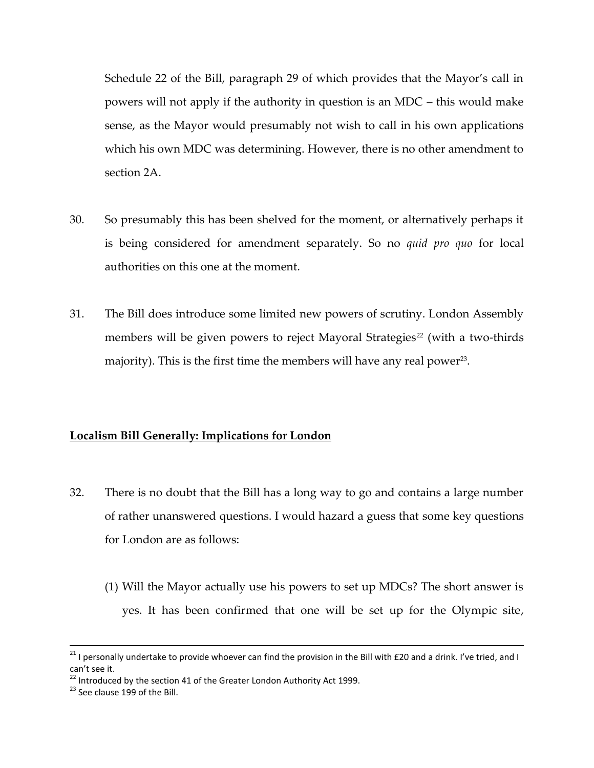Schedule 22 of the Bill, paragraph 29 of which provides that the Mayor's call in powers will not apply if the authority in question is an MDC – this would make sense, as the Mayor would presumably not wish to call in his own applications which his own MDC was determining. However, there is no other amendment to section 2A.

- 30. So presumably this has been shelved for the moment, or alternatively perhaps it is being considered for amendment separately. So no *quid pro quo* for local authorities on this one at the moment.
- 31. The Bill does introduce some limited new powers of scrutiny. London Assembly members will be given powers to reject Mayoral Strategies<sup>22</sup> (with a two-thirds majority). This is the first time the members will have any real power $^{\scriptscriptstyle 23}$ .

## **Localism Bill Generally: Implications for London**

- 32. There is no doubt that the Bill has a long way to go and contains a large number of rather unanswered questions. I would hazard a guess that some key questions for London are as follows:
	- (1) Will the Mayor actually use his powers to set up MDCs? The short answer is yes. It has been confirmed that one will be set up for the Olympic site,

 $\overline{a}$ 

 $^{21}$  I personally undertake to provide whoever can find the provision in the Bill with £20 and a drink. I've tried, and I can't see it.

 $22$  Introduced by the section 41 of the Greater London Authority Act 1999.

 $23$  See clause 199 of the Bill.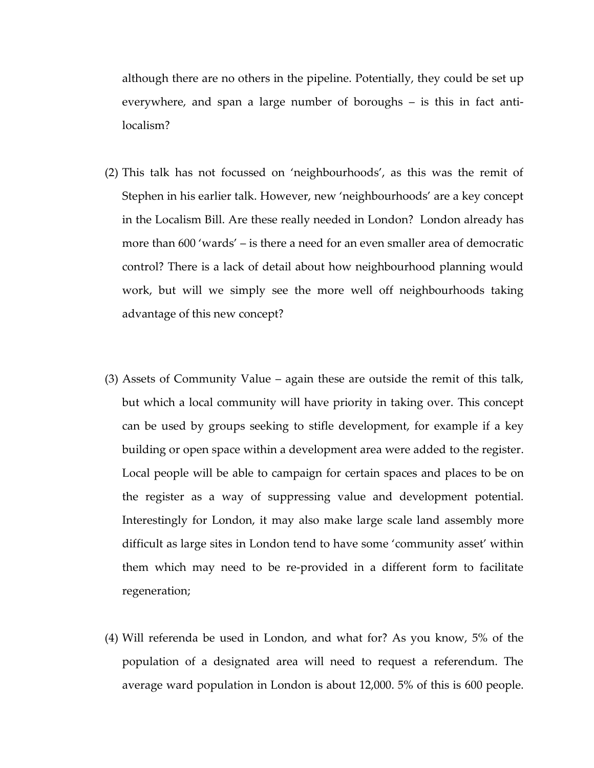although there are no others in the pipeline. Potentially, they could be set up everywhere, and span a large number of boroughs – is this in fact antilocalism?

- (2) This talk has not focussed on 'neighbourhoods', as this was the remit of Stephen in his earlier talk. However, new 'neighbourhoods' are a key concept in the Localism Bill. Are these really needed in London? London already has more than 600 'wards' – is there a need for an even smaller area of democratic control? There is a lack of detail about how neighbourhood planning would work, but will we simply see the more well off neighbourhoods taking advantage of this new concept?
- (3) Assets of Community Value again these are outside the remit of this talk, but which a local community will have priority in taking over. This concept can be used by groups seeking to stifle development, for example if a key building or open space within a development area were added to the register. Local people will be able to campaign for certain spaces and places to be on the register as a way of suppressing value and development potential. Interestingly for London, it may also make large scale land assembly more difficult as large sites in London tend to have some 'community asset' within them which may need to be re-provided in a different form to facilitate regeneration;
- (4) Will referenda be used in London, and what for? As you know, 5% of the population of a designated area will need to request a referendum. The average ward population in London is about 12,000. 5% of this is 600 people.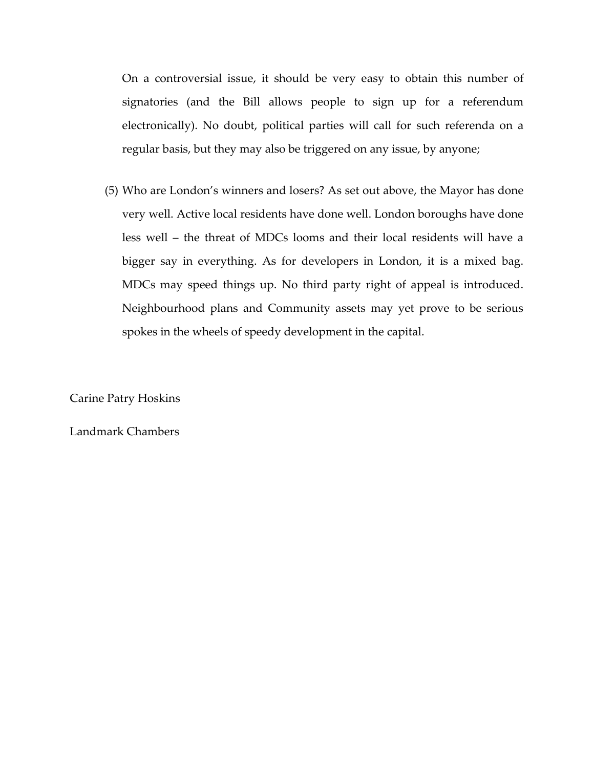On a controversial issue, it should be very easy to obtain this number of signatories (and the Bill allows people to sign up for a referendum electronically). No doubt, political parties will call for such referenda on a regular basis, but they may also be triggered on any issue, by anyone;

(5) Who are London's winners and losers? As set out above, the Mayor has done very well. Active local residents have done well. London boroughs have done less well – the threat of MDCs looms and their local residents will have a bigger say in everything. As for developers in London, it is a mixed bag. MDCs may speed things up. No third party right of appeal is introduced. Neighbourhood plans and Community assets may yet prove to be serious spokes in the wheels of speedy development in the capital.

Carine Patry Hoskins

Landmark Chambers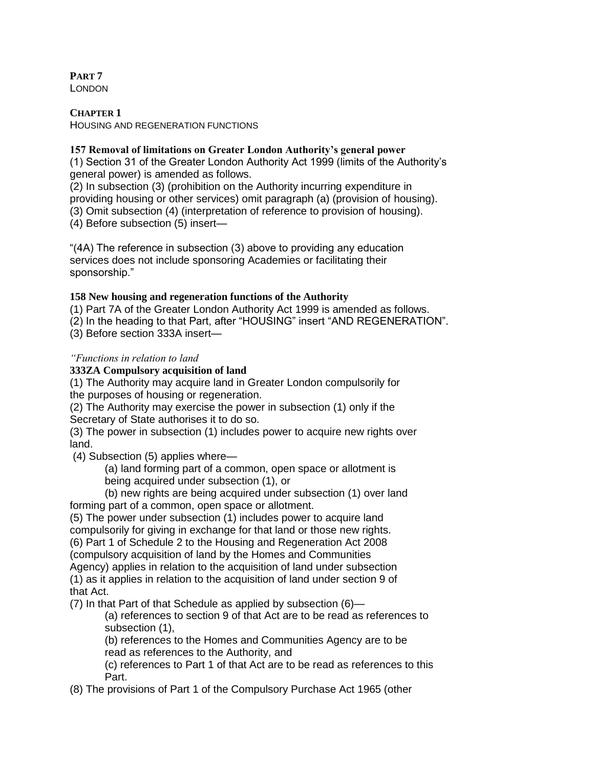**PART 7** LONDON

**CHAPTER 1** HOUSING AND REGENERATION FUNCTIONS

**157 Removal of limitations on Greater London Authority's general power**

(1) Section 31 of the Greater London Authority Act 1999 (limits of the Authority's general power) is amended as follows.

(2) In subsection (3) (prohibition on the Authority incurring expenditure in providing housing or other services) omit paragraph (a) (provision of housing).

(3) Omit subsection (4) (interpretation of reference to provision of housing).

(4) Before subsection (5) insert—

"(4A) The reference in subsection (3) above to providing any education services does not include sponsoring Academies or facilitating their sponsorship."

### **158 New housing and regeneration functions of the Authority**

(1) Part 7A of the Greater London Authority Act 1999 is amended as follows.

(2) In the heading to that Part, after "HOUSING" insert "AND REGENERATION".

(3) Before section 333A insert—

#### *"Functions in relation to land*

### **333ZA Compulsory acquisition of land**

(1) The Authority may acquire land in Greater London compulsorily for the purposes of housing or regeneration.

(2) The Authority may exercise the power in subsection (1) only if the Secretary of State authorises it to do so.

(3) The power in subsection (1) includes power to acquire new rights over land.

(4) Subsection (5) applies where—

(a) land forming part of a common, open space or allotment is

being acquired under subsection (1), or

(b) new rights are being acquired under subsection (1) over land forming part of a common, open space or allotment.

(5) The power under subsection (1) includes power to acquire land compulsorily for giving in exchange for that land or those new rights. (6) Part 1 of Schedule 2 to the Housing and Regeneration Act 2008 (compulsory acquisition of land by the Homes and Communities Agency) applies in relation to the acquisition of land under subsection (1) as it applies in relation to the acquisition of land under section 9 of that Act.

(7) In that Part of that Schedule as applied by subsection (6)—

(a) references to section 9 of that Act are to be read as references to subsection (1),

(b) references to the Homes and Communities Agency are to be read as references to the Authority, and

(c) references to Part 1 of that Act are to be read as references to this Part.

(8) The provisions of Part 1 of the Compulsory Purchase Act 1965 (other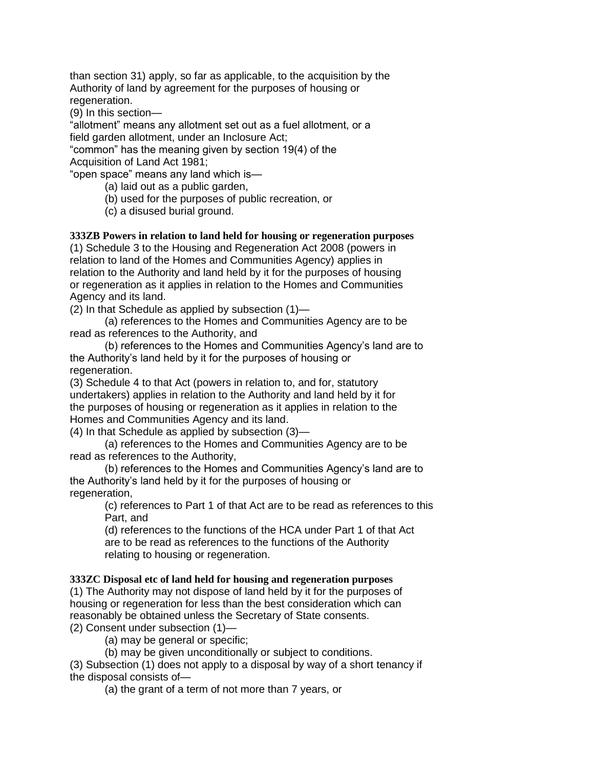than section 31) apply, so far as applicable, to the acquisition by the Authority of land by agreement for the purposes of housing or regeneration.

(9) In this section—

"allotment" means any allotment set out as a fuel allotment, or a field garden allotment, under an Inclosure Act;

"common" has the meaning given by section 19(4) of the Acquisition of Land Act 1981;

"open space" means any land which is—

(a) laid out as a public garden,

(b) used for the purposes of public recreation, or

(c) a disused burial ground.

## **333ZB Powers in relation to land held for housing or regeneration purposes**

(1) Schedule 3 to the Housing and Regeneration Act 2008 (powers in relation to land of the Homes and Communities Agency) applies in relation to the Authority and land held by it for the purposes of housing or regeneration as it applies in relation to the Homes and Communities Agency and its land.

(2) In that Schedule as applied by subsection (1)—

(a) references to the Homes and Communities Agency are to be read as references to the Authority, and

(b) references to the Homes and Communities Agency's land are to the Authority's land held by it for the purposes of housing or regeneration.

(3) Schedule 4 to that Act (powers in relation to, and for, statutory undertakers) applies in relation to the Authority and land held by it for the purposes of housing or regeneration as it applies in relation to the Homes and Communities Agency and its land.

(4) In that Schedule as applied by subsection (3)—

(a) references to the Homes and Communities Agency are to be read as references to the Authority,

(b) references to the Homes and Communities Agency's land are to the Authority's land held by it for the purposes of housing or regeneration,

(c) references to Part 1 of that Act are to be read as references to this Part, and

(d) references to the functions of the HCA under Part 1 of that Act are to be read as references to the functions of the Authority relating to housing or regeneration.

## **333ZC Disposal etc of land held for housing and regeneration purposes**

(1) The Authority may not dispose of land held by it for the purposes of housing or regeneration for less than the best consideration which can reasonably be obtained unless the Secretary of State consents. (2) Consent under subsection (1)—

(a) may be general or specific;

(b) may be given unconditionally or subject to conditions.

(3) Subsection (1) does not apply to a disposal by way of a short tenancy if the disposal consists of—

(a) the grant of a term of not more than 7 years, or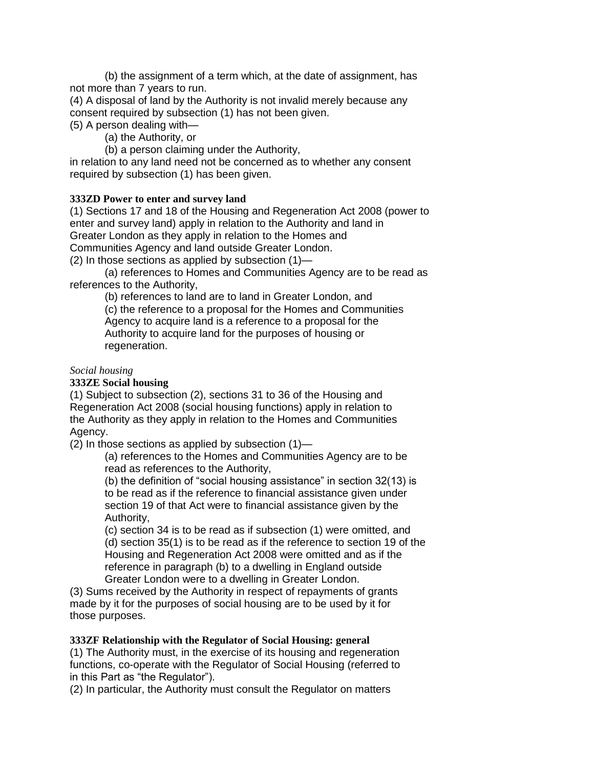(b) the assignment of a term which, at the date of assignment, has not more than 7 years to run.

(4) A disposal of land by the Authority is not invalid merely because any consent required by subsection (1) has not been given.

(5) A person dealing with—

(a) the Authority, or

(b) a person claiming under the Authority,

in relation to any land need not be concerned as to whether any consent required by subsection (1) has been given.

### **333ZD Power to enter and survey land**

(1) Sections 17 and 18 of the Housing and Regeneration Act 2008 (power to enter and survey land) apply in relation to the Authority and land in Greater London as they apply in relation to the Homes and Communities Agency and land outside Greater London.

(2) In those sections as applied by subsection (1)—

(a) references to Homes and Communities Agency are to be read as references to the Authority,

(b) references to land are to land in Greater London, and (c) the reference to a proposal for the Homes and Communities Agency to acquire land is a reference to a proposal for the Authority to acquire land for the purposes of housing or regeneration.

#### *Social housing*

#### **333ZE Social housing**

(1) Subject to subsection (2), sections 31 to 36 of the Housing and Regeneration Act 2008 (social housing functions) apply in relation to the Authority as they apply in relation to the Homes and Communities Agency.

(2) In those sections as applied by subsection (1)—

(a) references to the Homes and Communities Agency are to be read as references to the Authority,

(b) the definition of "social housing assistance" in section 32(13) is to be read as if the reference to financial assistance given under section 19 of that Act were to financial assistance given by the Authority,

(c) section 34 is to be read as if subsection (1) were omitted, and (d) section 35(1) is to be read as if the reference to section 19 of the Housing and Regeneration Act 2008 were omitted and as if the reference in paragraph (b) to a dwelling in England outside Greater London were to a dwelling in Greater London.

(3) Sums received by the Authority in respect of repayments of grants made by it for the purposes of social housing are to be used by it for those purposes.

#### **333ZF Relationship with the Regulator of Social Housing: general**

(1) The Authority must, in the exercise of its housing and regeneration functions, co-operate with the Regulator of Social Housing (referred to in this Part as "the Regulator").

(2) In particular, the Authority must consult the Regulator on matters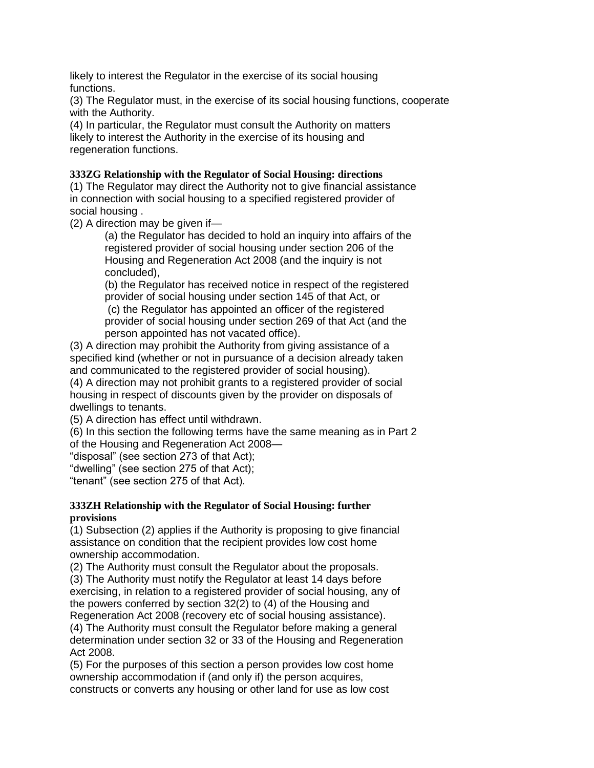likely to interest the Regulator in the exercise of its social housing functions.

(3) The Regulator must, in the exercise of its social housing functions, cooperate with the Authority.

(4) In particular, the Regulator must consult the Authority on matters likely to interest the Authority in the exercise of its housing and regeneration functions.

### **333ZG Relationship with the Regulator of Social Housing: directions**

(1) The Regulator may direct the Authority not to give financial assistance in connection with social housing to a specified registered provider of social housing .

(2) A direction may be given if—

(a) the Regulator has decided to hold an inquiry into affairs of the registered provider of social housing under section 206 of the Housing and Regeneration Act 2008 (and the inquiry is not concluded),

(b) the Regulator has received notice in respect of the registered provider of social housing under section 145 of that Act, or

(c) the Regulator has appointed an officer of the registered provider of social housing under section 269 of that Act (and the person appointed has not vacated office).

(3) A direction may prohibit the Authority from giving assistance of a specified kind (whether or not in pursuance of a decision already taken and communicated to the registered provider of social housing).

(4) A direction may not prohibit grants to a registered provider of social housing in respect of discounts given by the provider on disposals of dwellings to tenants.

(5) A direction has effect until withdrawn.

(6) In this section the following terms have the same meaning as in Part 2 of the Housing and Regeneration Act 2008—

"disposal" (see section 273 of that Act);

"dwelling" (see section 275 of that Act);

"tenant" (see section 275 of that Act).

#### **333ZH Relationship with the Regulator of Social Housing: further provisions**

(1) Subsection (2) applies if the Authority is proposing to give financial assistance on condition that the recipient provides low cost home ownership accommodation.

(2) The Authority must consult the Regulator about the proposals.

(3) The Authority must notify the Regulator at least 14 days before exercising, in relation to a registered provider of social housing, any of the powers conferred by section 32(2) to (4) of the Housing and Regeneration Act 2008 (recovery etc of social housing assistance).

(4) The Authority must consult the Regulator before making a general determination under section 32 or 33 of the Housing and Regeneration Act 2008.

(5) For the purposes of this section a person provides low cost home ownership accommodation if (and only if) the person acquires, constructs or converts any housing or other land for use as low cost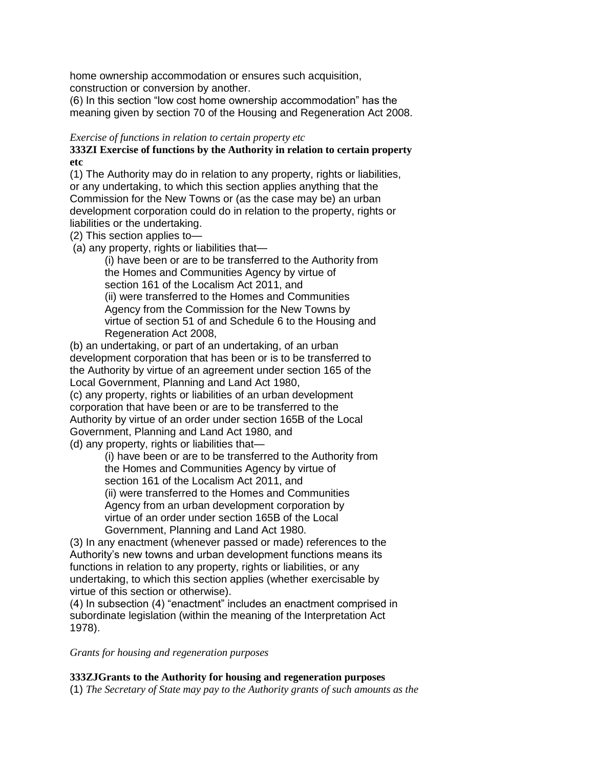home ownership accommodation or ensures such acquisition, construction or conversion by another.

(6) In this section "low cost home ownership accommodation" has the meaning given by section 70 of the Housing and Regeneration Act 2008.

#### *Exercise of functions in relation to certain property etc*

**333ZI Exercise of functions by the Authority in relation to certain property etc**

(1) The Authority may do in relation to any property, rights or liabilities, or any undertaking, to which this section applies anything that the Commission for the New Towns or (as the case may be) an urban development corporation could do in relation to the property, rights or liabilities or the undertaking.

(2) This section applies to—

(a) any property, rights or liabilities that—

(i) have been or are to be transferred to the Authority from the Homes and Communities Agency by virtue of section 161 of the Localism Act 2011, and (ii) were transferred to the Homes and Communities Agency from the Commission for the New Towns by virtue of section 51 of and Schedule 6 to the Housing and Regeneration Act 2008,

(b) an undertaking, or part of an undertaking, of an urban development corporation that has been or is to be transferred to the Authority by virtue of an agreement under section 165 of the Local Government, Planning and Land Act 1980, (c) any property, rights or liabilities of an urban development corporation that have been or are to be transferred to the Authority by virtue of an order under section 165B of the Local Government, Planning and Land Act 1980, and (d) any property, rights or liabilities that—

> (i) have been or are to be transferred to the Authority from the Homes and Communities Agency by virtue of section 161 of the Localism Act 2011, and (ii) were transferred to the Homes and Communities Agency from an urban development corporation by virtue of an order under section 165B of the Local Government, Planning and Land Act 1980.

(3) In any enactment (whenever passed or made) references to the Authority's new towns and urban development functions means its functions in relation to any property, rights or liabilities, or any undertaking, to which this section applies (whether exercisable by virtue of this section or otherwise).

(4) In subsection (4) "enactment" includes an enactment comprised in subordinate legislation (within the meaning of the Interpretation Act 1978).

*Grants for housing and regeneration purposes*

#### **333ZJGrants to the Authority for housing and regeneration purposes**

(1) *The Secretary of State may pay to the Authority grants of such amounts as the*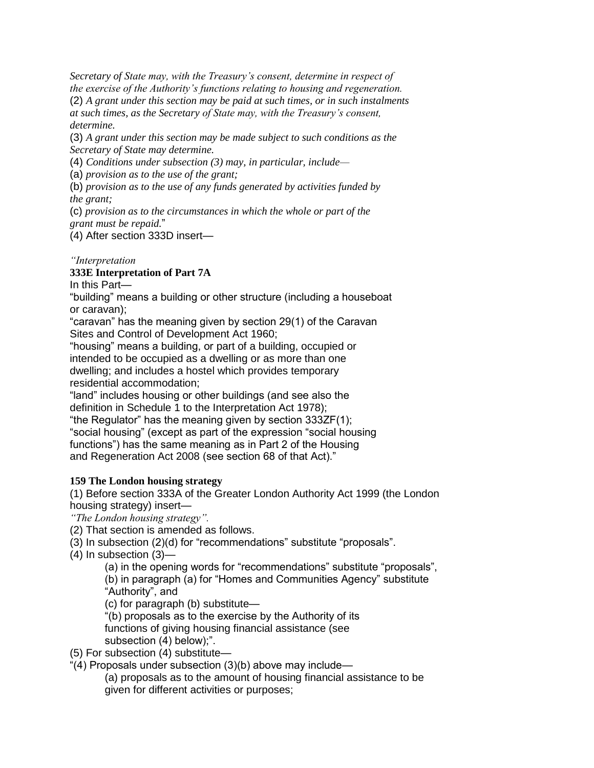*Secretary of State may, with the Treasury's consent, determine in respect of the exercise of the Authority's functions relating to housing and regeneration.*

(2) *A grant under this section may be paid at such times, or in such instalments at such times, as the Secretary of State may, with the Treasury's consent, determine.*

(3) *A grant under this section may be made subject to such conditions as the Secretary of State may determine.*

(4) *Conditions under subsection (3) may, in particular, include—*

(a) *provision as to the use of the grant;*

(b) *provision as to the use of any funds generated by activities funded by the grant;*

(c) *provision as to the circumstances in which the whole or part of the grant must be repaid.*"

(4) After section 333D insert—

## *"Interpretation*

## **333E Interpretation of Part 7A**

In this Part—

"building" means a building or other structure (including a houseboat or caravan);

"caravan" has the meaning given by section 29(1) of the Caravan Sites and Control of Development Act 1960;

"housing" means a building, or part of a building, occupied or intended to be occupied as a dwelling or as more than one dwelling; and includes a hostel which provides temporary residential accommodation;

"land" includes housing or other buildings (and see also the definition in Schedule 1 to the Interpretation Act 1978); "the Regulator" has the meaning given by section 333ZF(1); "social housing" (except as part of the expression "social housing

functions") has the same meaning as in Part 2 of the Housing and Regeneration Act 2008 (see section 68 of that Act)."

## **159 The London housing strategy**

(1) Before section 333A of the Greater London Authority Act 1999 (the London housing strategy) insert—

*"The London housing strategy".*

(2) That section is amended as follows.

(3) In subsection (2)(d) for "recommendations" substitute "proposals".

(4) In subsection (3)—

(a) in the opening words for "recommendations" substitute "proposals", (b) in paragraph (a) for "Homes and Communities Agency" substitute "Authority", and

(c) for paragraph (b) substitute—

"(b) proposals as to the exercise by the Authority of its functions of giving housing financial assistance (see subsection (4) below);".

(5) For subsection (4) substitute—

"(4) Proposals under subsection (3)(b) above may include—

(a) proposals as to the amount of housing financial assistance to be given for different activities or purposes;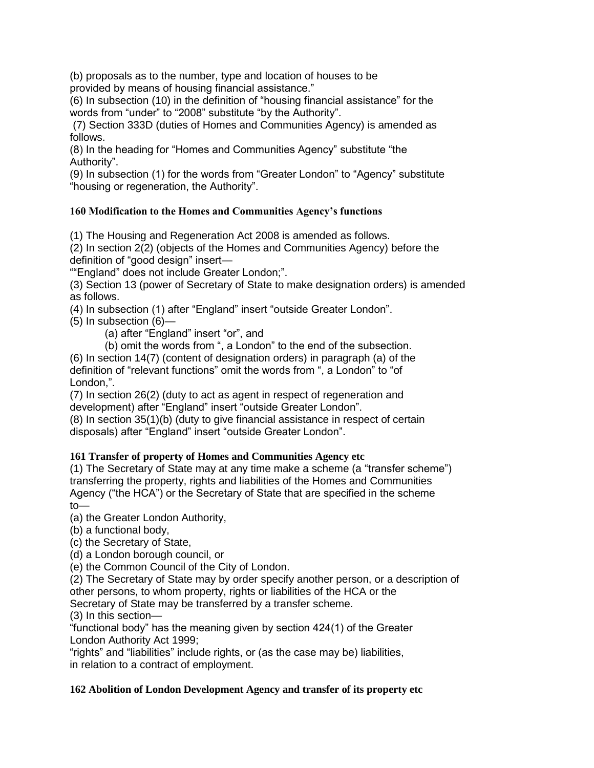(b) proposals as to the number, type and location of houses to be provided by means of housing financial assistance."

(6) In subsection (10) in the definition of "housing financial assistance" for the words from "under" to "2008" substitute "by the Authority".

(7) Section 333D (duties of Homes and Communities Agency) is amended as follows.

(8) In the heading for "Homes and Communities Agency" substitute "the Authority".

(9) In subsection (1) for the words from "Greater London" to "Agency" substitute "housing or regeneration, the Authority".

## **160 Modification to the Homes and Communities Agency's functions**

(1) The Housing and Regeneration Act 2008 is amended as follows.

(2) In section 2(2) (objects of the Homes and Communities Agency) before the definition of "good design" insert—

""England" does not include Greater London;".

(3) Section 13 (power of Secretary of State to make designation orders) is amended as follows.

(4) In subsection (1) after "England" insert "outside Greater London".

(5) In subsection (6)—

(a) after "England" insert "or", and

(b) omit the words from ", a London" to the end of the subsection.

(6) In section 14(7) (content of designation orders) in paragraph (a) of the definition of "relevant functions" omit the words from ", a London" to "of London,".

(7) In section 26(2) (duty to act as agent in respect of regeneration and development) after "England" insert "outside Greater London".

(8) In section 35(1)(b) (duty to give financial assistance in respect of certain disposals) after "England" insert "outside Greater London".

## **161 Transfer of property of Homes and Communities Agency etc**

(1) The Secretary of State may at any time make a scheme (a "transfer scheme") transferring the property, rights and liabilities of the Homes and Communities Agency ("the HCA") or the Secretary of State that are specified in the scheme to—

(a) the Greater London Authority,

(b) a functional body,

(c) the Secretary of State,

(d) a London borough council, or

(e) the Common Council of the City of London.

(2) The Secretary of State may by order specify another person, or a description of other persons, to whom property, rights or liabilities of the HCA or the

Secretary of State may be transferred by a transfer scheme.

(3) In this section—

"functional body" has the meaning given by section 424(1) of the Greater London Authority Act 1999;

"rights" and "liabilities" include rights, or (as the case may be) liabilities, in relation to a contract of employment.

## **162 Abolition of London Development Agency and transfer of its property etc**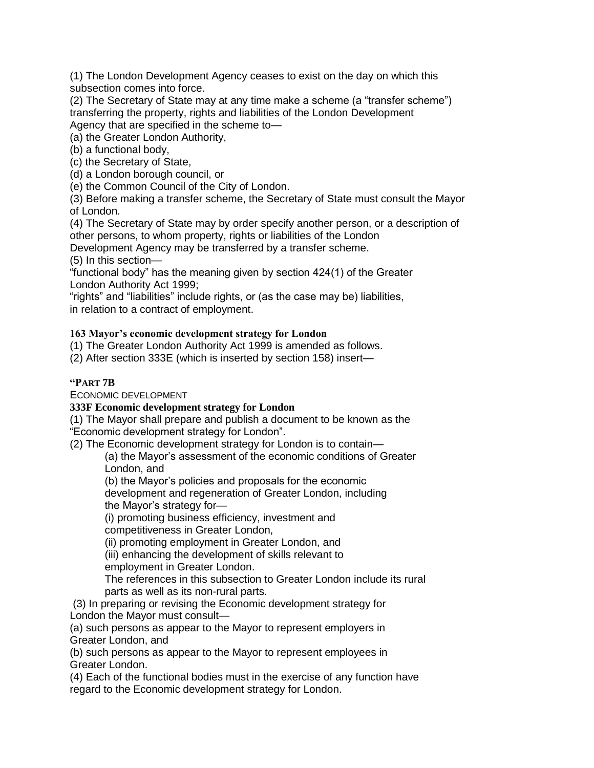(1) The London Development Agency ceases to exist on the day on which this subsection comes into force.

(2) The Secretary of State may at any time make a scheme (a "transfer scheme") transferring the property, rights and liabilities of the London Development Agency that are specified in the scheme to—

(a) the Greater London Authority,

(b) a functional body,

(c) the Secretary of State,

(d) a London borough council, or

(e) the Common Council of the City of London.

(3) Before making a transfer scheme, the Secretary of State must consult the Mayor of London.

(4) The Secretary of State may by order specify another person, or a description of other persons, to whom property, rights or liabilities of the London

Development Agency may be transferred by a transfer scheme.

(5) In this section—

"functional body" has the meaning given by section 424(1) of the Greater London Authority Act 1999;

"rights" and "liabilities" include rights, or (as the case may be) liabilities, in relation to a contract of employment.

## **163 Mayor's economic development strategy for London**

(1) The Greater London Authority Act 1999 is amended as follows.

(2) After section 333E (which is inserted by section 158) insert—

### **"PART 7B**

ECONOMIC DEVELOPMENT

#### **333F Economic development strategy for London**

(1) The Mayor shall prepare and publish a document to be known as the "Economic development strategy for London".

(2) The Economic development strategy for London is to contain—

(a) the Mayor's assessment of the economic conditions of Greater London, and

(b) the Mayor's policies and proposals for the economic development and regeneration of Greater London, including the Mayor's strategy for—

(i) promoting business efficiency, investment and

competitiveness in Greater London,

(ii) promoting employment in Greater London, and

(iii) enhancing the development of skills relevant to

employment in Greater London.

The references in this subsection to Greater London include its rural parts as well as its non-rural parts.

(3) In preparing or revising the Economic development strategy for London the Mayor must consult—

(a) such persons as appear to the Mayor to represent employers in Greater London, and

(b) such persons as appear to the Mayor to represent employees in Greater London.

(4) Each of the functional bodies must in the exercise of any function have regard to the Economic development strategy for London.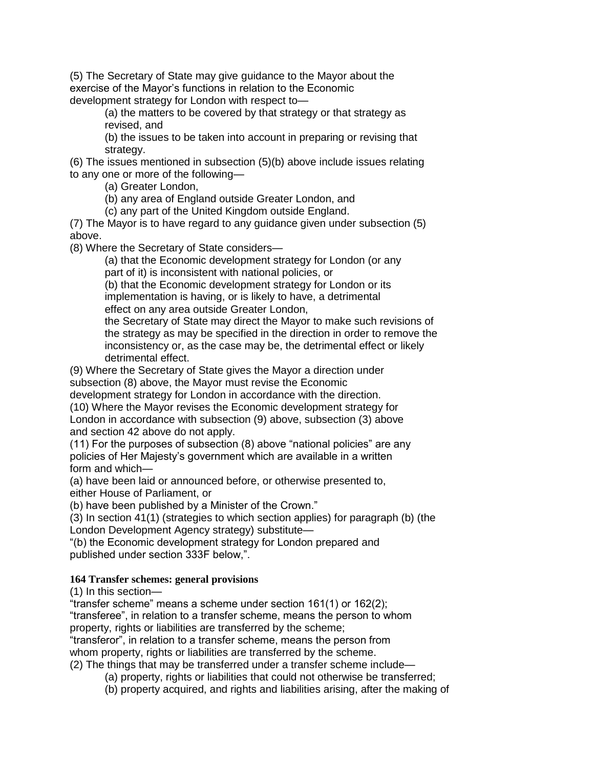(5) The Secretary of State may give guidance to the Mayor about the exercise of the Mayor's functions in relation to the Economic development strategy for London with respect to—

> (a) the matters to be covered by that strategy or that strategy as revised, and

(b) the issues to be taken into account in preparing or revising that strategy.

(6) The issues mentioned in subsection (5)(b) above include issues relating to any one or more of the following—

(a) Greater London,

(b) any area of England outside Greater London, and

(c) any part of the United Kingdom outside England.

(7) The Mayor is to have regard to any guidance given under subsection (5) above.

(8) Where the Secretary of State considers—

(a) that the Economic development strategy for London (or any part of it) is inconsistent with national policies, or

(b) that the Economic development strategy for London or its implementation is having, or is likely to have, a detrimental effect on any area outside Greater London,

the Secretary of State may direct the Mayor to make such revisions of the strategy as may be specified in the direction in order to remove the inconsistency or, as the case may be, the detrimental effect or likely detrimental effect.

(9) Where the Secretary of State gives the Mayor a direction under subsection (8) above, the Mayor must revise the Economic

development strategy for London in accordance with the direction. (10) Where the Mayor revises the Economic development strategy for London in accordance with subsection (9) above, subsection (3) above and section 42 above do not apply.

(11) For the purposes of subsection (8) above "national policies" are any policies of Her Majesty's government which are available in a written form and which—

(a) have been laid or announced before, or otherwise presented to, either House of Parliament, or

(b) have been published by a Minister of the Crown."

(3) In section 41(1) (strategies to which section applies) for paragraph (b) (the London Development Agency strategy) substitute—

"(b) the Economic development strategy for London prepared and published under section 333F below,".

## **164 Transfer schemes: general provisions**

(1) In this section—

"transfer scheme" means a scheme under section 161(1) or 162(2);

"transferee", in relation to a transfer scheme, means the person to whom property, rights or liabilities are transferred by the scheme;

"transferor", in relation to a transfer scheme, means the person from whom property, rights or liabilities are transferred by the scheme.

(2) The things that may be transferred under a transfer scheme include—

(a) property, rights or liabilities that could not otherwise be transferred;

(b) property acquired, and rights and liabilities arising, after the making of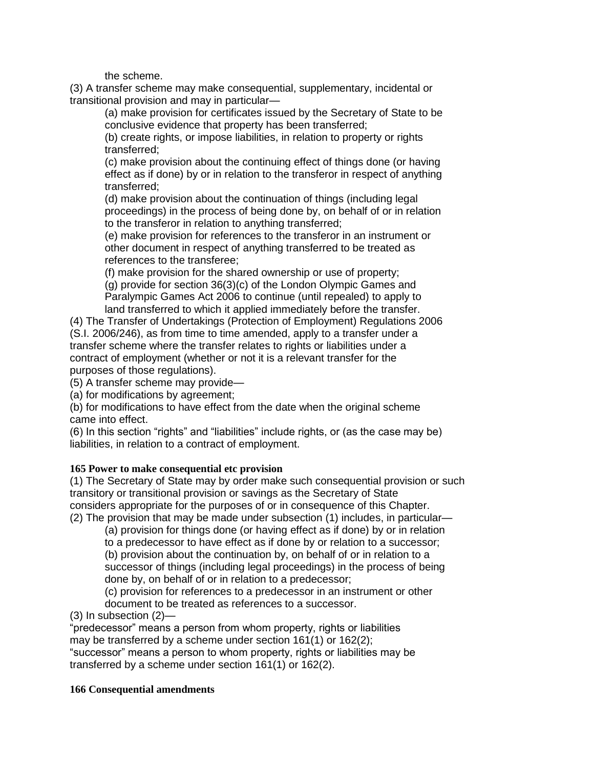the scheme.

(3) A transfer scheme may make consequential, supplementary, incidental or transitional provision and may in particular—

(a) make provision for certificates issued by the Secretary of State to be conclusive evidence that property has been transferred;

(b) create rights, or impose liabilities, in relation to property or rights transferred;

(c) make provision about the continuing effect of things done (or having effect as if done) by or in relation to the transferor in respect of anything transferred;

(d) make provision about the continuation of things (including legal proceedings) in the process of being done by, on behalf of or in relation to the transferor in relation to anything transferred;

(e) make provision for references to the transferor in an instrument or other document in respect of anything transferred to be treated as references to the transferee;

(f) make provision for the shared ownership or use of property;

(g) provide for section 36(3)(c) of the London Olympic Games and Paralympic Games Act 2006 to continue (until repealed) to apply to land transferred to which it applied immediately before the transfer.

(4) The Transfer of Undertakings (Protection of Employment) Regulations 2006 (S.I. 2006/246), as from time to time amended, apply to a transfer under a transfer scheme where the transfer relates to rights or liabilities under a contract of employment (whether or not it is a relevant transfer for the purposes of those regulations).

(5) A transfer scheme may provide—

(a) for modifications by agreement;

(b) for modifications to have effect from the date when the original scheme came into effect.

(6) In this section "rights" and "liabilities" include rights, or (as the case may be) liabilities, in relation to a contract of employment.

## **165 Power to make consequential etc provision**

(1) The Secretary of State may by order make such consequential provision or such transitory or transitional provision or savings as the Secretary of State considers appropriate for the purposes of or in consequence of this Chapter.

(2) The provision that may be made under subsection (1) includes, in particular—

(a) provision for things done (or having effect as if done) by or in relation

to a predecessor to have effect as if done by or relation to a successor;

(b) provision about the continuation by, on behalf of or in relation to a

successor of things (including legal proceedings) in the process of being done by, on behalf of or in relation to a predecessor;

(c) provision for references to a predecessor in an instrument or other

document to be treated as references to a successor.

(3) In subsection (2)—

"predecessor" means a person from whom property, rights or liabilities may be transferred by a scheme under section 161(1) or 162(2); "successor" means a person to whom property, rights or liabilities may be transferred by a scheme under section 161(1) or 162(2).

#### **166 Consequential amendments**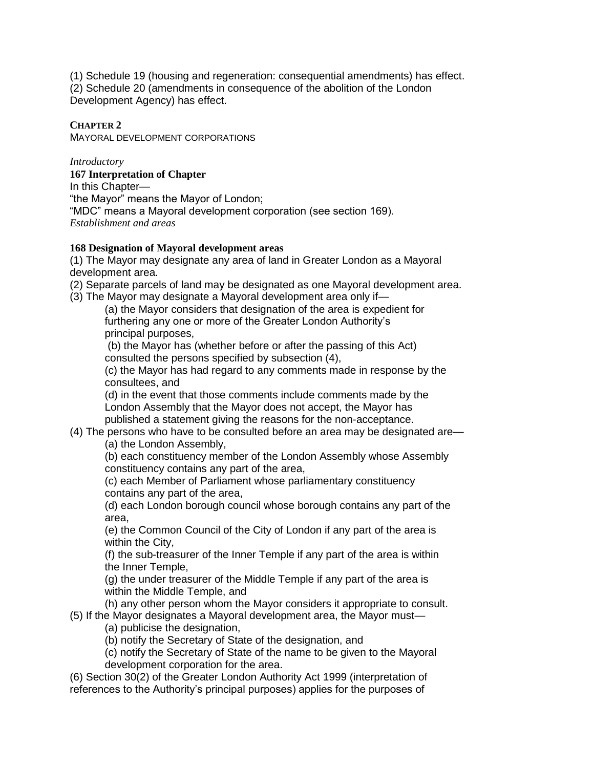(1) Schedule 19 (housing and regeneration: consequential amendments) has effect. (2) Schedule 20 (amendments in consequence of the abolition of the London Development Agency) has effect.

## **CHAPTER 2**

MAYORAL DEVELOPMENT CORPORATIONS

*Introductory*

**167 Interpretation of Chapter** In this Chapter— "the Mayor" means the Mayor of London; "MDC" means a Mayoral development corporation (see section 169). *Establishment and areas*

## **168 Designation of Mayoral development areas**

(1) The Mayor may designate any area of land in Greater London as a Mayoral development area.

(2) Separate parcels of land may be designated as one Mayoral development area.

(3) The Mayor may designate a Mayoral development area only if—

(a) the Mayor considers that designation of the area is expedient for furthering any one or more of the Greater London Authority's principal purposes,

(b) the Mayor has (whether before or after the passing of this Act) consulted the persons specified by subsection (4),

(c) the Mayor has had regard to any comments made in response by the consultees, and

(d) in the event that those comments include comments made by the London Assembly that the Mayor does not accept, the Mayor has published a statement giving the reasons for the non-acceptance.

(4) The persons who have to be consulted before an area may be designated are—

(a) the London Assembly,

(b) each constituency member of the London Assembly whose Assembly constituency contains any part of the area,

(c) each Member of Parliament whose parliamentary constituency contains any part of the area,

(d) each London borough council whose borough contains any part of the area,

(e) the Common Council of the City of London if any part of the area is within the City,

(f) the sub-treasurer of the Inner Temple if any part of the area is within the Inner Temple,

(g) the under treasurer of the Middle Temple if any part of the area is within the Middle Temple, and

(h) any other person whom the Mayor considers it appropriate to consult.

(5) If the Mayor designates a Mayoral development area, the Mayor must—

(a) publicise the designation,

(b) notify the Secretary of State of the designation, and

(c) notify the Secretary of State of the name to be given to the Mayoral development corporation for the area.

(6) Section 30(2) of the Greater London Authority Act 1999 (interpretation of references to the Authority's principal purposes) applies for the purposes of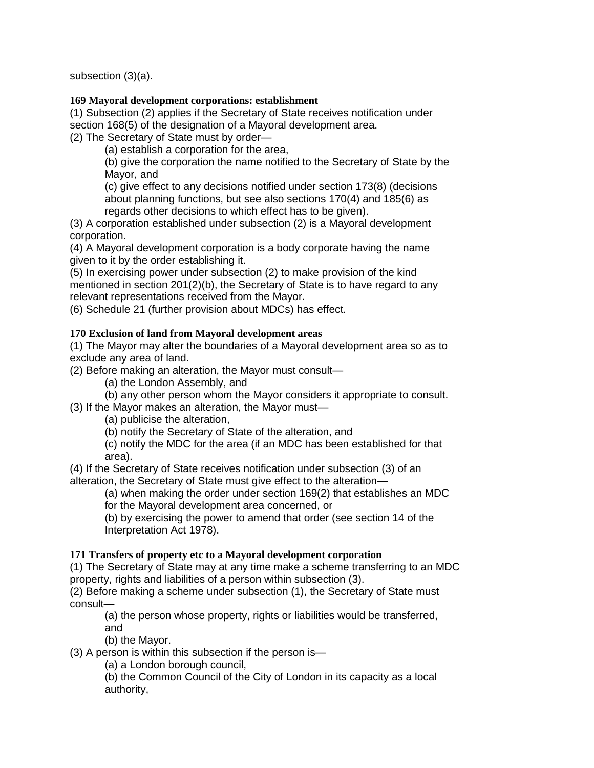subsection (3)(a).

## **169 Mayoral development corporations: establishment**

(1) Subsection (2) applies if the Secretary of State receives notification under section 168(5) of the designation of a Mayoral development area.

(2) The Secretary of State must by order—

(a) establish a corporation for the area,

(b) give the corporation the name notified to the Secretary of State by the Mayor, and

(c) give effect to any decisions notified under section 173(8) (decisions about planning functions, but see also sections 170(4) and 185(6) as regards other decisions to which effect has to be given).

(3) A corporation established under subsection (2) is a Mayoral development corporation.

(4) A Mayoral development corporation is a body corporate having the name given to it by the order establishing it.

(5) In exercising power under subsection (2) to make provision of the kind mentioned in section  $201(2)(b)$ , the Secretary of State is to have regard to any relevant representations received from the Mayor.

(6) Schedule 21 (further provision about MDCs) has effect.

## **170 Exclusion of land from Mayoral development areas**

(1) The Mayor may alter the boundaries of a Mayoral development area so as to exclude any area of land.

(2) Before making an alteration, the Mayor must consult—

(a) the London Assembly, and

(b) any other person whom the Mayor considers it appropriate to consult.

(3) If the Mayor makes an alteration, the Mayor must—

(a) publicise the alteration,

(b) notify the Secretary of State of the alteration, and

(c) notify the MDC for the area (if an MDC has been established for that area).

(4) If the Secretary of State receives notification under subsection (3) of an alteration, the Secretary of State must give effect to the alteration—

(a) when making the order under section 169(2) that establishes an MDC for the Mayoral development area concerned, or

(b) by exercising the power to amend that order (see section 14 of the Interpretation Act 1978).

## **171 Transfers of property etc to a Mayoral development corporation**

(1) The Secretary of State may at any time make a scheme transferring to an MDC property, rights and liabilities of a person within subsection (3).

(2) Before making a scheme under subsection (1), the Secretary of State must consult—

(a) the person whose property, rights or liabilities would be transferred, and

(b) the Mayor.

(3) A person is within this subsection if the person is—

(a) a London borough council,

(b) the Common Council of the City of London in its capacity as a local authority,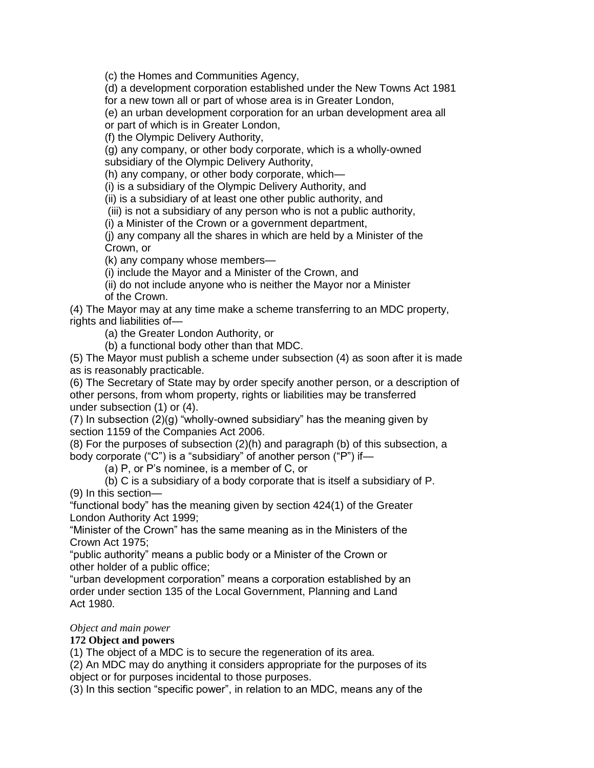(c) the Homes and Communities Agency,

(d) a development corporation established under the New Towns Act 1981 for a new town all or part of whose area is in Greater London,

(e) an urban development corporation for an urban development area all

or part of which is in Greater London,

(f) the Olympic Delivery Authority,

(g) any company, or other body corporate, which is a wholly-owned subsidiary of the Olympic Delivery Authority,

(h) any company, or other body corporate, which—

(i) is a subsidiary of the Olympic Delivery Authority, and

(ii) is a subsidiary of at least one other public authority, and

(iii) is not a subsidiary of any person who is not a public authority,

(i) a Minister of the Crown or a government department,

(j) any company all the shares in which are held by a Minister of the Crown, or

(k) any company whose members—

(i) include the Mayor and a Minister of the Crown, and

(ii) do not include anyone who is neither the Mayor nor a Minister

of the Crown.

(4) The Mayor may at any time make a scheme transferring to an MDC property, rights and liabilities of—

(a) the Greater London Authority, or

(b) a functional body other than that MDC.

(5) The Mayor must publish a scheme under subsection (4) as soon after it is made as is reasonably practicable.

(6) The Secretary of State may by order specify another person, or a description of other persons, from whom property, rights or liabilities may be transferred under subsection (1) or (4).

(7) In subsection (2)(g) "wholly-owned subsidiary" has the meaning given by section 1159 of the Companies Act 2006.

(8) For the purposes of subsection (2)(h) and paragraph (b) of this subsection, a body corporate ("C") is a "subsidiary" of another person ("P") if—

(a) P, or P's nominee, is a member of C, or

(b) C is a subsidiary of a body corporate that is itself a subsidiary of P.

(9) In this section—

"functional body" has the meaning given by section 424(1) of the Greater London Authority Act 1999;

"Minister of the Crown" has the same meaning as in the Ministers of the Crown Act 1975;

"public authority" means a public body or a Minister of the Crown or other holder of a public office;

"urban development corporation" means a corporation established by an order under section 135 of the Local Government, Planning and Land Act 1980.

#### *Object and main power*

## **172 Object and powers**

(1) The object of a MDC is to secure the regeneration of its area.

(2) An MDC may do anything it considers appropriate for the purposes of its object or for purposes incidental to those purposes.

(3) In this section "specific power", in relation to an MDC, means any of the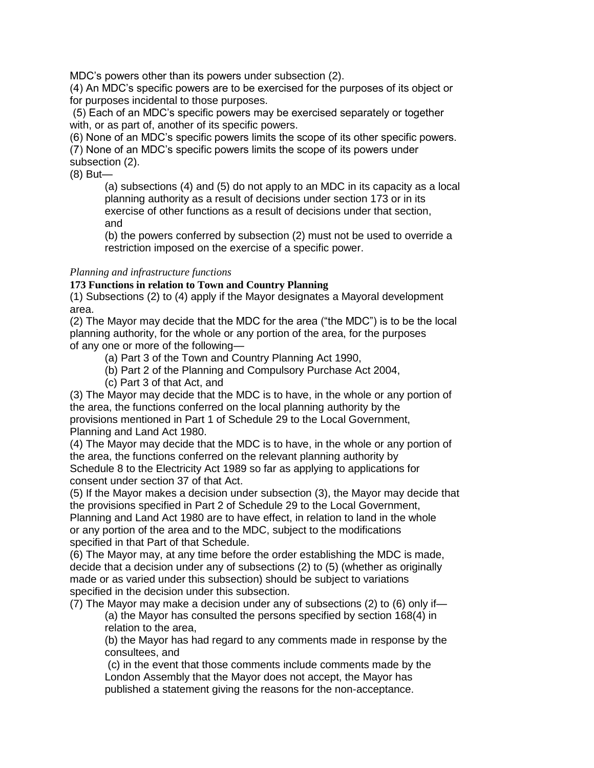MDC's powers other than its powers under subsection (2).

(4) An MDC's specific powers are to be exercised for the purposes of its object or for purposes incidental to those purposes.

(5) Each of an MDC's specific powers may be exercised separately or together with, or as part of, another of its specific powers.

(6) None of an MDC's specific powers limits the scope of its other specific powers.

(7) None of an MDC's specific powers limits the scope of its powers under

subsection (2).

(8) But—

(a) subsections (4) and (5) do not apply to an MDC in its capacity as a local planning authority as a result of decisions under section 173 or in its exercise of other functions as a result of decisions under that section, and

(b) the powers conferred by subsection (2) must not be used to override a restriction imposed on the exercise of a specific power.

### *Planning and infrastructure functions*

### **173 Functions in relation to Town and Country Planning**

(1) Subsections (2) to (4) apply if the Mayor designates a Mayoral development area.

(2) The Mayor may decide that the MDC for the area ("the MDC") is to be the local planning authority, for the whole or any portion of the area, for the purposes of any one or more of the following—

- (a) Part 3 of the Town and Country Planning Act 1990,
- (b) Part 2 of the Planning and Compulsory Purchase Act 2004,
- (c) Part 3 of that Act, and

(3) The Mayor may decide that the MDC is to have, in the whole or any portion of the area, the functions conferred on the local planning authority by the provisions mentioned in Part 1 of Schedule 29 to the Local Government, Planning and Land Act 1980.

(4) The Mayor may decide that the MDC is to have, in the whole or any portion of the area, the functions conferred on the relevant planning authority by Schedule 8 to the Electricity Act 1989 so far as applying to applications for consent under section 37 of that Act.

(5) If the Mayor makes a decision under subsection (3), the Mayor may decide that the provisions specified in Part 2 of Schedule 29 to the Local Government, Planning and Land Act 1980 are to have effect, in relation to land in the whole or any portion of the area and to the MDC, subject to the modifications specified in that Part of that Schedule.

(6) The Mayor may, at any time before the order establishing the MDC is made, decide that a decision under any of subsections (2) to (5) (whether as originally made or as varied under this subsection) should be subject to variations specified in the decision under this subsection.

(7) The Mayor may make a decision under any of subsections (2) to (6) only if— (a) the Mayor has consulted the persons specified by section 168(4) in relation to the area,

(b) the Mayor has had regard to any comments made in response by the consultees, and

(c) in the event that those comments include comments made by the London Assembly that the Mayor does not accept, the Mayor has published a statement giving the reasons for the non-acceptance.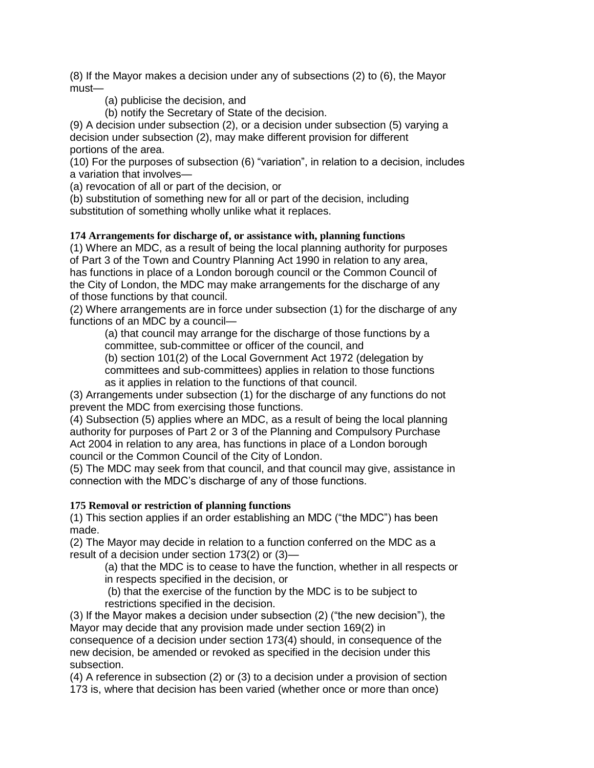(8) If the Mayor makes a decision under any of subsections (2) to (6), the Mayor must—

(a) publicise the decision, and

(b) notify the Secretary of State of the decision.

(9) A decision under subsection (2), or a decision under subsection (5) varying a decision under subsection (2), may make different provision for different portions of the area.

(10) For the purposes of subsection (6) "variation", in relation to a decision, includes a variation that involves—

(a) revocation of all or part of the decision, or

(b) substitution of something new for all or part of the decision, including substitution of something wholly unlike what it replaces.

## **174 Arrangements for discharge of, or assistance with, planning functions**

(1) Where an MDC, as a result of being the local planning authority for purposes of Part 3 of the Town and Country Planning Act 1990 in relation to any area, has functions in place of a London borough council or the Common Council of the City of London, the MDC may make arrangements for the discharge of any of those functions by that council.

(2) Where arrangements are in force under subsection (1) for the discharge of any functions of an MDC by a council—

(a) that council may arrange for the discharge of those functions by a committee, sub-committee or officer of the council, and

(b) section 101(2) of the Local Government Act 1972 (delegation by committees and sub-committees) applies in relation to those functions as it applies in relation to the functions of that council.

(3) Arrangements under subsection (1) for the discharge of any functions do not prevent the MDC from exercising those functions.

(4) Subsection (5) applies where an MDC, as a result of being the local planning authority for purposes of Part 2 or 3 of the Planning and Compulsory Purchase Act 2004 in relation to any area, has functions in place of a London borough council or the Common Council of the City of London.

(5) The MDC may seek from that council, and that council may give, assistance in connection with the MDC's discharge of any of those functions.

## **175 Removal or restriction of planning functions**

(1) This section applies if an order establishing an MDC ("the MDC") has been made.

(2) The Mayor may decide in relation to a function conferred on the MDC as a result of a decision under section 173(2) or (3)—

(a) that the MDC is to cease to have the function, whether in all respects or

in respects specified in the decision, or

(b) that the exercise of the function by the MDC is to be subject to restrictions specified in the decision.

(3) If the Mayor makes a decision under subsection (2) ("the new decision"), the Mayor may decide that any provision made under section 169(2) in consequence of a decision under section 173(4) should, in consequence of the new decision, be amended or revoked as specified in the decision under this subsection.

(4) A reference in subsection (2) or (3) to a decision under a provision of section 173 is, where that decision has been varied (whether once or more than once)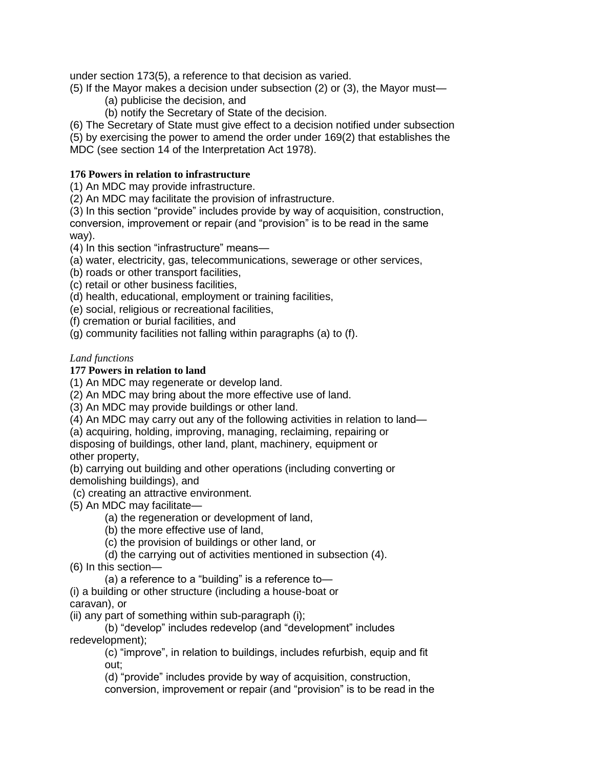under section 173(5), a reference to that decision as varied.

(5) If the Mayor makes a decision under subsection (2) or (3), the Mayor must—

- (a) publicise the decision, and
- (b) notify the Secretary of State of the decision.
- (6) The Secretary of State must give effect to a decision notified under subsection

(5) by exercising the power to amend the order under 169(2) that establishes the MDC (see section 14 of the Interpretation Act 1978).

## **176 Powers in relation to infrastructure**

(1) An MDC may provide infrastructure.

(2) An MDC may facilitate the provision of infrastructure.

(3) In this section "provide" includes provide by way of acquisition, construction, conversion, improvement or repair (and "provision" is to be read in the same way).

(4) In this section "infrastructure" means—

- (a) water, electricity, gas, telecommunications, sewerage or other services,
- (b) roads or other transport facilities,
- (c) retail or other business facilities,
- (d) health, educational, employment or training facilities,
- (e) social, religious or recreational facilities,

(f) cremation or burial facilities, and

(g) community facilities not falling within paragraphs (a) to (f).

## *Land functions*

### **177 Powers in relation to land**

(1) An MDC may regenerate or develop land.

(2) An MDC may bring about the more effective use of land.

(3) An MDC may provide buildings or other land.

(4) An MDC may carry out any of the following activities in relation to land—

(a) acquiring, holding, improving, managing, reclaiming, repairing or disposing of buildings, other land, plant, machinery, equipment or other property,

(b) carrying out building and other operations (including converting or demolishing buildings), and

(c) creating an attractive environment.

- (5) An MDC may facilitate—
	- (a) the regeneration or development of land,
	- (b) the more effective use of land,
	- (c) the provision of buildings or other land, or
	- (d) the carrying out of activities mentioned in subsection (4).
- (6) In this section—
	- (a) a reference to a "building" is a reference to—
- (i) a building or other structure (including a house-boat or caravan), or

(ii) any part of something within sub-paragraph (i);

(b) "develop" includes redevelop (and "development" includes redevelopment);

(c) "improve", in relation to buildings, includes refurbish, equip and fit out;

(d) "provide" includes provide by way of acquisition, construction,

conversion, improvement or repair (and "provision" is to be read in the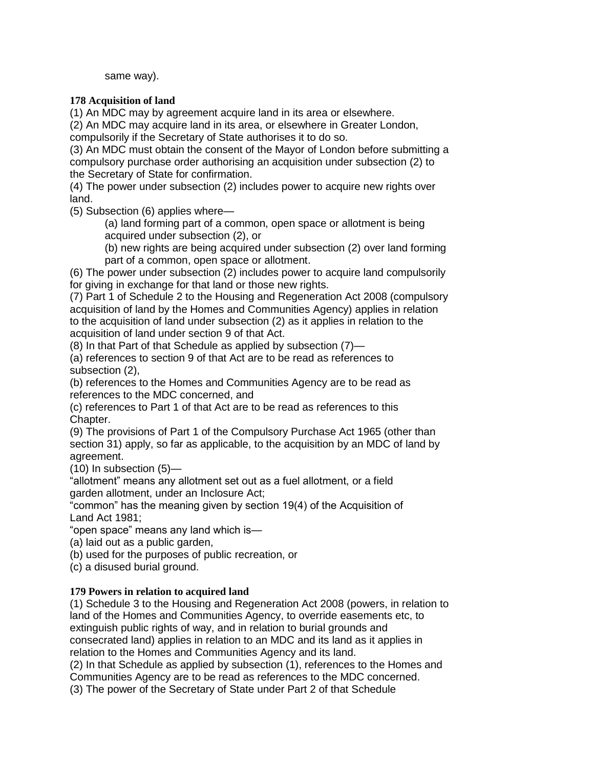same way).

## **178 Acquisition of land**

(1) An MDC may by agreement acquire land in its area or elsewhere.

(2) An MDC may acquire land in its area, or elsewhere in Greater London,

compulsorily if the Secretary of State authorises it to do so.

(3) An MDC must obtain the consent of the Mayor of London before submitting a compulsory purchase order authorising an acquisition under subsection (2) to the Secretary of State for confirmation.

(4) The power under subsection (2) includes power to acquire new rights over land.

(5) Subsection (6) applies where—

(a) land forming part of a common, open space or allotment is being acquired under subsection (2), or

(b) new rights are being acquired under subsection (2) over land forming part of a common, open space or allotment.

(6) The power under subsection (2) includes power to acquire land compulsorily for giving in exchange for that land or those new rights.

(7) Part 1 of Schedule 2 to the Housing and Regeneration Act 2008 (compulsory acquisition of land by the Homes and Communities Agency) applies in relation to the acquisition of land under subsection (2) as it applies in relation to the acquisition of land under section 9 of that Act.

(8) In that Part of that Schedule as applied by subsection (7)—

(a) references to section 9 of that Act are to be read as references to subsection (2),

(b) references to the Homes and Communities Agency are to be read as references to the MDC concerned, and

(c) references to Part 1 of that Act are to be read as references to this Chapter.

(9) The provisions of Part 1 of the Compulsory Purchase Act 1965 (other than section 31) apply, so far as applicable, to the acquisition by an MDC of land by agreement.

(10) In subsection (5)—

"allotment" means any allotment set out as a fuel allotment, or a field garden allotment, under an Inclosure Act;

"common" has the meaning given by section 19(4) of the Acquisition of Land Act 1981;

"open space" means any land which is—

(a) laid out as a public garden,

(b) used for the purposes of public recreation, or

(c) a disused burial ground.

## **179 Powers in relation to acquired land**

(1) Schedule 3 to the Housing and Regeneration Act 2008 (powers, in relation to land of the Homes and Communities Agency, to override easements etc, to extinguish public rights of way, and in relation to burial grounds and consecrated land) applies in relation to an MDC and its land as it applies in relation to the Homes and Communities Agency and its land.

(2) In that Schedule as applied by subsection (1), references to the Homes and Communities Agency are to be read as references to the MDC concerned.

(3) The power of the Secretary of State under Part 2 of that Schedule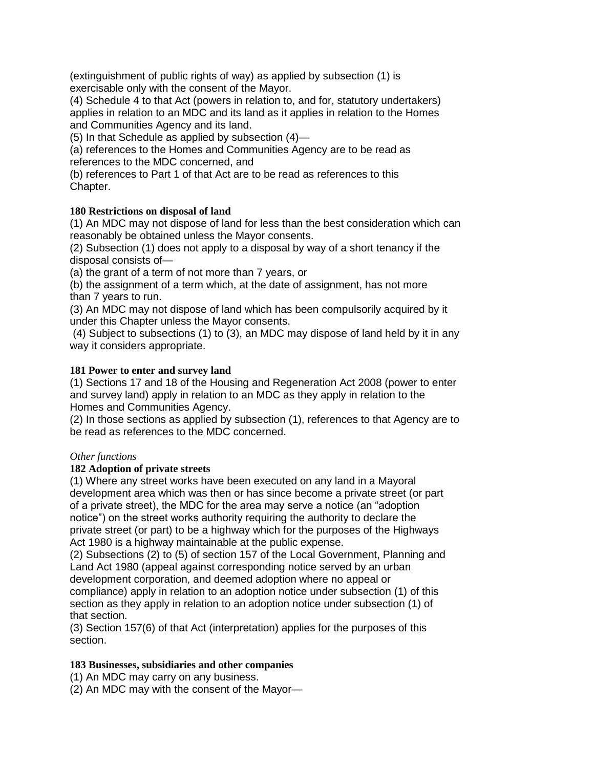(extinguishment of public rights of way) as applied by subsection (1) is exercisable only with the consent of the Mayor.

(4) Schedule 4 to that Act (powers in relation to, and for, statutory undertakers) applies in relation to an MDC and its land as it applies in relation to the Homes and Communities Agency and its land.

(5) In that Schedule as applied by subsection (4)—

(a) references to the Homes and Communities Agency are to be read as references to the MDC concerned, and

(b) references to Part 1 of that Act are to be read as references to this Chapter.

## **180 Restrictions on disposal of land**

(1) An MDC may not dispose of land for less than the best consideration which can reasonably be obtained unless the Mayor consents.

(2) Subsection (1) does not apply to a disposal by way of a short tenancy if the disposal consists of—

(a) the grant of a term of not more than 7 years, or

(b) the assignment of a term which, at the date of assignment, has not more than 7 years to run.

(3) An MDC may not dispose of land which has been compulsorily acquired by it under this Chapter unless the Mayor consents.

(4) Subject to subsections (1) to (3), an MDC may dispose of land held by it in any way it considers appropriate.

## **181 Power to enter and survey land**

(1) Sections 17 and 18 of the Housing and Regeneration Act 2008 (power to enter and survey land) apply in relation to an MDC as they apply in relation to the Homes and Communities Agency.

(2) In those sections as applied by subsection (1), references to that Agency are to be read as references to the MDC concerned.

## *Other functions*

## **182 Adoption of private streets**

(1) Where any street works have been executed on any land in a Mayoral development area which was then or has since become a private street (or part of a private street), the MDC for the area may serve a notice (an "adoption notice") on the street works authority requiring the authority to declare the private street (or part) to be a highway which for the purposes of the Highways Act 1980 is a highway maintainable at the public expense.

(2) Subsections (2) to (5) of section 157 of the Local Government, Planning and Land Act 1980 (appeal against corresponding notice served by an urban development corporation, and deemed adoption where no appeal or compliance) apply in relation to an adoption notice under subsection (1) of this section as they apply in relation to an adoption notice under subsection (1) of that section.

(3) Section 157(6) of that Act (interpretation) applies for the purposes of this section.

## **183 Businesses, subsidiaries and other companies**

(1) An MDC may carry on any business.

(2) An MDC may with the consent of the Mayor—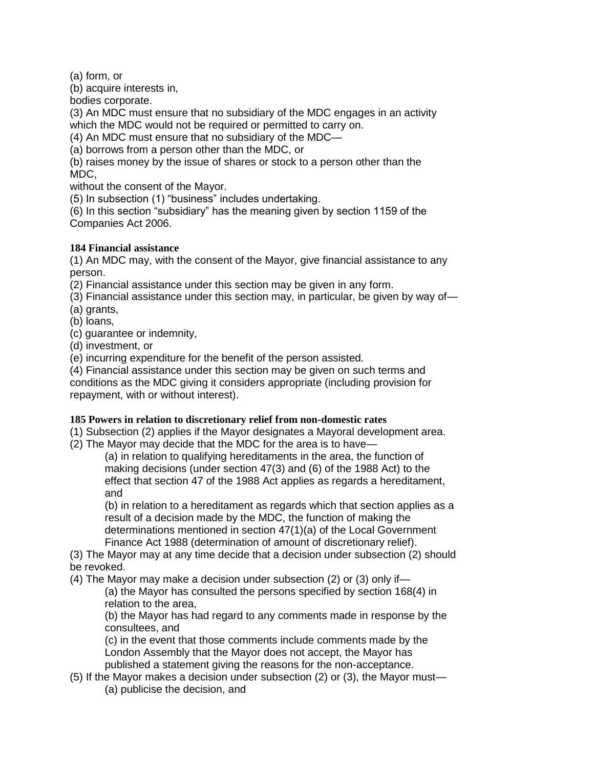(a) form, or

(b) acquire interests in,

bodies corporate.

(3) An MDC must ensure that no subsidiary of the MDC engages in an activity which the MDC would not be required or permitted to carry on.

(4) An MDC must ensure that no subsidiary of the MDC—

(a) borrows from a person other than the MDC, or

(b) raises money by the issue of shares or stock to a person other than the MDC,

without the consent of the Mayor.

(5) In subsection (1) "business" includes undertaking.

(6) In this section "subsidiary" has the meaning given by section 1159 of the Companies Act 2006.

## **184 Financial assistance**

(1) An MDC may, with the consent of the Mayor, give financial assistance to any person.

(2) Financial assistance under this section may be given in any form.

(3) Financial assistance under this section may, in particular, be given by way of—

(a) grants,

(b) loans,

(c) guarantee or indemnity,

(d) investment, or

(e) incurring expenditure for the benefit of the person assisted.

(4) Financial assistance under this section may be given on such terms and conditions as the MDC giving it considers appropriate (including provision for repayment, with or without interest).

## **185 Powers in relation to discretionary relief from non-domestic rates**

(1) Subsection (2) applies if the Mayor designates a Mayoral development area.

(2) The Mayor may decide that the MDC for the area is to have—

(a) in relation to qualifying hereditaments in the area, the function of making decisions (under section 47(3) and (6) of the 1988 Act) to the effect that section 47 of the 1988 Act applies as regards a hereditament, and

(b) in relation to a hereditament as regards which that section applies as a result of a decision made by the MDC, the function of making the determinations mentioned in section 47(1)(a) of the Local Government Finance Act 1988 (determination of amount of discretionary relief).

(3) The Mayor may at any time decide that a decision under subsection (2) should be revoked.

(4) The Mayor may make a decision under subsection (2) or (3) only if—

(a) the Mayor has consulted the persons specified by section 168(4) in relation to the area,

(b) the Mayor has had regard to any comments made in response by the consultees, and

(c) in the event that those comments include comments made by the London Assembly that the Mayor does not accept, the Mayor has published a statement giving the reasons for the non-acceptance.

- (5) If the Mayor makes a decision under subsection (2) or (3), the Mayor must—
	- (a) publicise the decision, and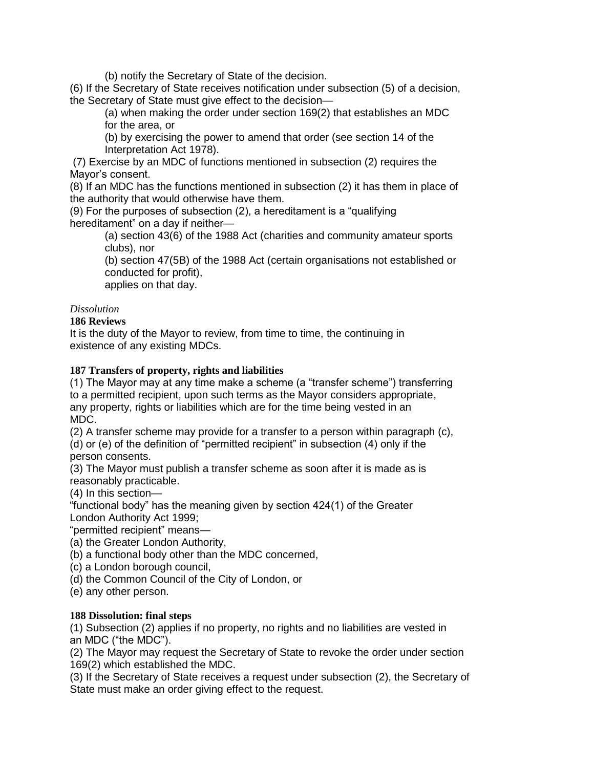(b) notify the Secretary of State of the decision.

(6) If the Secretary of State receives notification under subsection (5) of a decision, the Secretary of State must give effect to the decision—

(a) when making the order under section 169(2) that establishes an MDC for the area, or

(b) by exercising the power to amend that order (see section 14 of the Interpretation Act 1978).

(7) Exercise by an MDC of functions mentioned in subsection (2) requires the Mayor's consent.

(8) If an MDC has the functions mentioned in subsection (2) it has them in place of the authority that would otherwise have them.

(9) For the purposes of subsection (2), a hereditament is a "qualifying hereditament" on a day if neither—

(a) section 43(6) of the 1988 Act (charities and community amateur sports clubs), nor

(b) section 47(5B) of the 1988 Act (certain organisations not established or conducted for profit),

applies on that day.

## *Dissolution*

## **186 Reviews**

It is the duty of the Mayor to review, from time to time, the continuing in existence of any existing MDCs.

## **187 Transfers of property, rights and liabilities**

(1) The Mayor may at any time make a scheme (a "transfer scheme") transferring to a permitted recipient, upon such terms as the Mayor considers appropriate, any property, rights or liabilities which are for the time being vested in an MDC.

(2) A transfer scheme may provide for a transfer to a person within paragraph (c), (d) or (e) of the definition of "permitted recipient" in subsection (4) only if the person consents.

(3) The Mayor must publish a transfer scheme as soon after it is made as is reasonably practicable.

(4) In this section—

"functional body" has the meaning given by section 424(1) of the Greater London Authority Act 1999;

"permitted recipient" means—

(a) the Greater London Authority,

(b) a functional body other than the MDC concerned,

- (c) a London borough council,
- (d) the Common Council of the City of London, or
- (e) any other person.

#### **188 Dissolution: final steps**

(1) Subsection (2) applies if no property, no rights and no liabilities are vested in an MDC ("the MDC").

(2) The Mayor may request the Secretary of State to revoke the order under section 169(2) which established the MDC.

(3) If the Secretary of State receives a request under subsection (2), the Secretary of State must make an order giving effect to the request.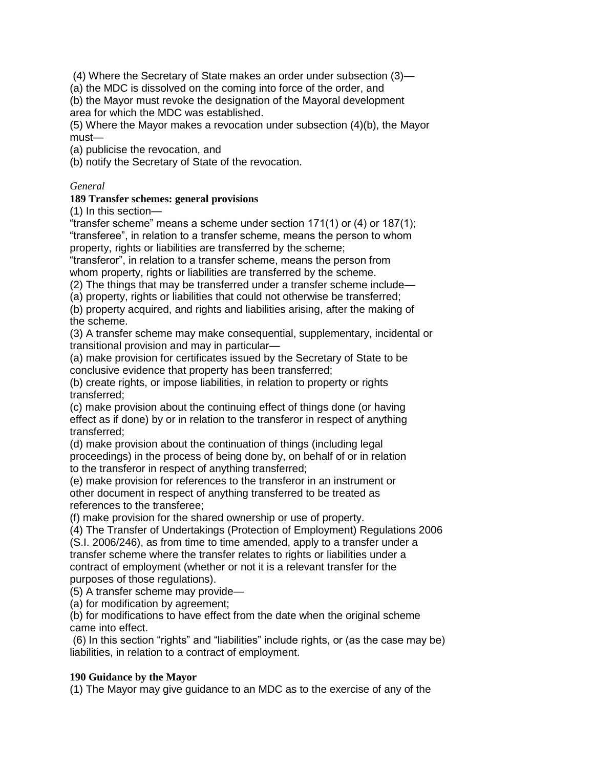(4) Where the Secretary of State makes an order under subsection (3)—

(a) the MDC is dissolved on the coming into force of the order, and

(b) the Mayor must revoke the designation of the Mayoral development area for which the MDC was established.

(5) Where the Mayor makes a revocation under subsection (4)(b), the Mayor must—

(a) publicise the revocation, and

(b) notify the Secretary of State of the revocation.

### *General*

### **189 Transfer schemes: general provisions**

(1) In this section—

"transfer scheme" means a scheme under section 171(1) or (4) or 187(1); "transferee", in relation to a transfer scheme, means the person to whom property, rights or liabilities are transferred by the scheme;

"transferor", in relation to a transfer scheme, means the person from whom property, rights or liabilities are transferred by the scheme.

(2) The things that may be transferred under a transfer scheme include—

(a) property, rights or liabilities that could not otherwise be transferred;

(b) property acquired, and rights and liabilities arising, after the making of the scheme.

(3) A transfer scheme may make consequential, supplementary, incidental or transitional provision and may in particular—

(a) make provision for certificates issued by the Secretary of State to be conclusive evidence that property has been transferred;

(b) create rights, or impose liabilities, in relation to property or rights transferred;

(c) make provision about the continuing effect of things done (or having effect as if done) by or in relation to the transferor in respect of anything transferred;

(d) make provision about the continuation of things (including legal proceedings) in the process of being done by, on behalf of or in relation to the transferor in respect of anything transferred;

(e) make provision for references to the transferor in an instrument or other document in respect of anything transferred to be treated as references to the transferee;

(f) make provision for the shared ownership or use of property.

(4) The Transfer of Undertakings (Protection of Employment) Regulations 2006 (S.I. 2006/246), as from time to time amended, apply to a transfer under a transfer scheme where the transfer relates to rights or liabilities under a contract of employment (whether or not it is a relevant transfer for the purposes of those regulations).

(5) A transfer scheme may provide—

(a) for modification by agreement;

(b) for modifications to have effect from the date when the original scheme came into effect.

(6) In this section "rights" and "liabilities" include rights, or (as the case may be) liabilities, in relation to a contract of employment.

## **190 Guidance by the Mayor**

(1) The Mayor may give guidance to an MDC as to the exercise of any of the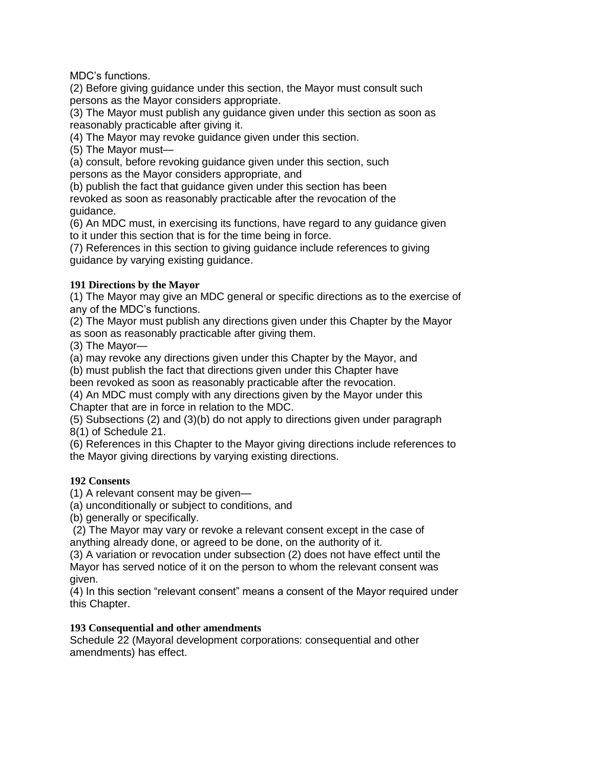MDC's functions.

(2) Before giving guidance under this section, the Mayor must consult such persons as the Mayor considers appropriate.

(3) The Mayor must publish any guidance given under this section as soon as reasonably practicable after giving it.

(4) The Mayor may revoke guidance given under this section.

(5) The Mayor must—

(a) consult, before revoking guidance given under this section, such persons as the Mayor considers appropriate, and

(b) publish the fact that guidance given under this section has been revoked as soon as reasonably practicable after the revocation of the guidance.

(6) An MDC must, in exercising its functions, have regard to any guidance given to it under this section that is for the time being in force.

(7) References in this section to giving guidance include references to giving guidance by varying existing guidance.

## **191 Directions by the Mayor**

(1) The Mayor may give an MDC general or specific directions as to the exercise of any of the MDC's functions.

(2) The Mayor must publish any directions given under this Chapter by the Mayor as soon as reasonably practicable after giving them.

(3) The Mayor—

(a) may revoke any directions given under this Chapter by the Mayor, and

(b) must publish the fact that directions given under this Chapter have

been revoked as soon as reasonably practicable after the revocation.

(4) An MDC must comply with any directions given by the Mayor under this Chapter that are in force in relation to the MDC.

(5) Subsections (2) and (3)(b) do not apply to directions given under paragraph 8(1) of Schedule 21.

(6) References in this Chapter to the Mayor giving directions include references to the Mayor giving directions by varying existing directions.

## **192 Consents**

(1) A relevant consent may be given—

(a) unconditionally or subject to conditions, and

(b) generally or specifically.

(2) The Mayor may vary or revoke a relevant consent except in the case of anything already done, or agreed to be done, on the authority of it.

(3) A variation or revocation under subsection (2) does not have effect until the Mayor has served notice of it on the person to whom the relevant consent was given.

(4) In this section "relevant consent" means a consent of the Mayor required under this Chapter.

#### **193 Consequential and other amendments**

Schedule 22 (Mayoral development corporations: consequential and other amendments) has effect.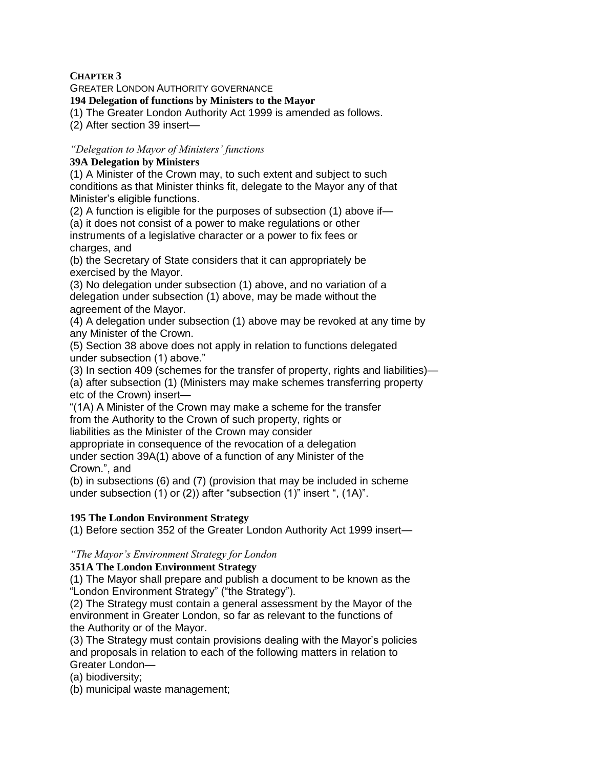## **CHAPTER 3**

GREATER LONDON AUTHORITY GOVERNANCE

### **194 Delegation of functions by Ministers to the Mayor**

(1) The Greater London Authority Act 1999 is amended as follows.

(2) After section 39 insert—

### *"Delegation to Mayor of Ministers' functions*

### **39A Delegation by Ministers**

(1) A Minister of the Crown may, to such extent and subject to such conditions as that Minister thinks fit, delegate to the Mayor any of that Minister's eligible functions.

(2) A function is eligible for the purposes of subsection (1) above if—

(a) it does not consist of a power to make regulations or other instruments of a legislative character or a power to fix fees or charges, and

(b) the Secretary of State considers that it can appropriately be exercised by the Mayor.

(3) No delegation under subsection (1) above, and no variation of a delegation under subsection (1) above, may be made without the agreement of the Mayor.

(4) A delegation under subsection (1) above may be revoked at any time by any Minister of the Crown.

(5) Section 38 above does not apply in relation to functions delegated under subsection (1) above."

(3) In section 409 (schemes for the transfer of property, rights and liabilities)— (a) after subsection (1) (Ministers may make schemes transferring property etc of the Crown) insert—

"(1A) A Minister of the Crown may make a scheme for the transfer from the Authority to the Crown of such property, rights or liabilities as the Minister of the Crown may consider

appropriate in consequence of the revocation of a delegation under section 39A(1) above of a function of any Minister of the Crown.", and

(b) in subsections (6) and (7) (provision that may be included in scheme under subsection (1) or (2)) after "subsection (1)" insert ", (1A)".

## **195 The London Environment Strategy**

(1) Before section 352 of the Greater London Authority Act 1999 insert—

#### *"The Mayor's Environment Strategy for London*

#### **351A The London Environment Strategy**

(1) The Mayor shall prepare and publish a document to be known as the "London Environment Strategy" ("the Strategy").

(2) The Strategy must contain a general assessment by the Mayor of the environment in Greater London, so far as relevant to the functions of the Authority or of the Mayor.

(3) The Strategy must contain provisions dealing with the Mayor's policies and proposals in relation to each of the following matters in relation to Greater London—

(a) biodiversity;

(b) municipal waste management;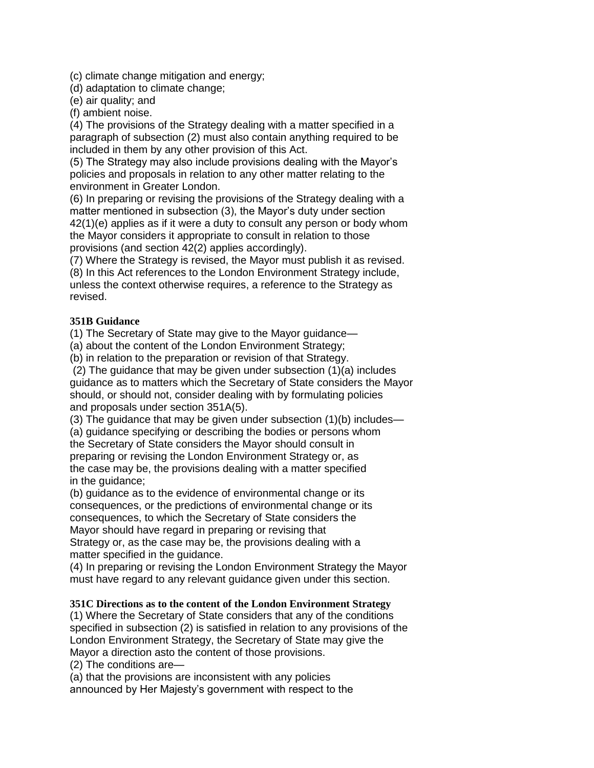(c) climate change mitigation and energy;

(d) adaptation to climate change;

(e) air quality; and

(f) ambient noise.

(4) The provisions of the Strategy dealing with a matter specified in a paragraph of subsection (2) must also contain anything required to be included in them by any other provision of this Act.

(5) The Strategy may also include provisions dealing with the Mayor's policies and proposals in relation to any other matter relating to the environment in Greater London.

(6) In preparing or revising the provisions of the Strategy dealing with a matter mentioned in subsection (3), the Mayor's duty under section 42(1)(e) applies as if it were a duty to consult any person or body whom the Mayor considers it appropriate to consult in relation to those provisions (and section 42(2) applies accordingly).

(7) Where the Strategy is revised, the Mayor must publish it as revised. (8) In this Act references to the London Environment Strategy include, unless the context otherwise requires, a reference to the Strategy as revised.

## **351B Guidance**

(1) The Secretary of State may give to the Mayor guidance—

(a) about the content of the London Environment Strategy;

(b) in relation to the preparation or revision of that Strategy.

(2) The guidance that may be given under subsection (1)(a) includes guidance as to matters which the Secretary of State considers the Mayor should, or should not, consider dealing with by formulating policies and proposals under section 351A(5).

(3) The guidance that may be given under subsection (1)(b) includes— (a) guidance specifying or describing the bodies or persons whom the Secretary of State considers the Mayor should consult in preparing or revising the London Environment Strategy or, as the case may be, the provisions dealing with a matter specified in the guidance;

(b) guidance as to the evidence of environmental change or its consequences, or the predictions of environmental change or its consequences, to which the Secretary of State considers the Mayor should have regard in preparing or revising that Strategy or, as the case may be, the provisions dealing with a matter specified in the guidance.

(4) In preparing or revising the London Environment Strategy the Mayor must have regard to any relevant guidance given under this section.

## **351C Directions as to the content of the London Environment Strategy**

(1) Where the Secretary of State considers that any of the conditions specified in subsection (2) is satisfied in relation to any provisions of the London Environment Strategy, the Secretary of State may give the Mayor a direction asto the content of those provisions.

(2) The conditions are—

(a) that the provisions are inconsistent with any policies announced by Her Majesty's government with respect to the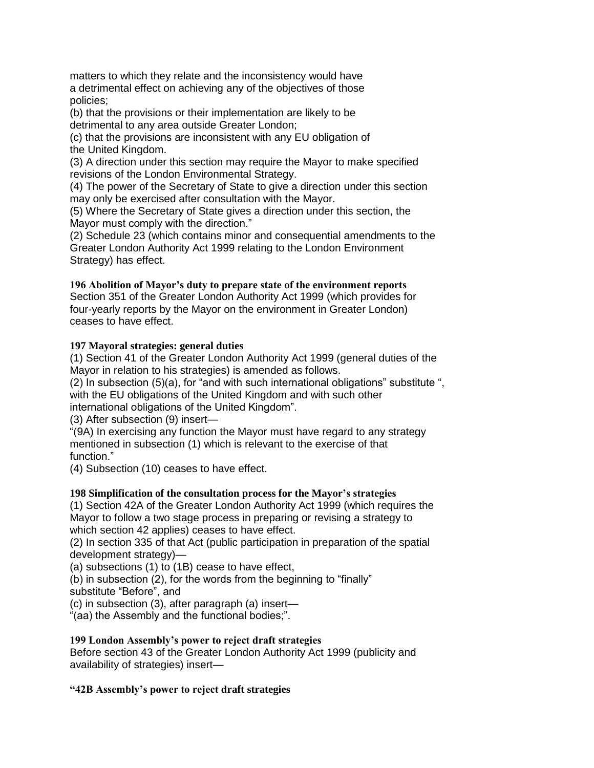matters to which they relate and the inconsistency would have a detrimental effect on achieving any of the objectives of those policies;

(b) that the provisions or their implementation are likely to be detrimental to any area outside Greater London;

(c) that the provisions are inconsistent with any EU obligation of the United Kingdom.

(3) A direction under this section may require the Mayor to make specified revisions of the London Environmental Strategy.

(4) The power of the Secretary of State to give a direction under this section may only be exercised after consultation with the Mayor.

(5) Where the Secretary of State gives a direction under this section, the Mayor must comply with the direction."

(2) Schedule 23 (which contains minor and consequential amendments to the Greater London Authority Act 1999 relating to the London Environment Strategy) has effect.

## **196 Abolition of Mayor's duty to prepare state of the environment reports**

Section 351 of the Greater London Authority Act 1999 (which provides for four-yearly reports by the Mayor on the environment in Greater London) ceases to have effect.

## **197 Mayoral strategies: general duties**

(1) Section 41 of the Greater London Authority Act 1999 (general duties of the Mayor in relation to his strategies) is amended as follows.

(2) In subsection (5)(a), for "and with such international obligations" substitute ", with the EU obligations of the United Kingdom and with such other international obligations of the United Kingdom".

(3) After subsection (9) insert—

"(9A) In exercising any function the Mayor must have regard to any strategy mentioned in subsection (1) which is relevant to the exercise of that function."

(4) Subsection (10) ceases to have effect.

## **198 Simplification of the consultation process for the Mayor's strategies**

(1) Section 42A of the Greater London Authority Act 1999 (which requires the Mayor to follow a two stage process in preparing or revising a strategy to which section 42 applies) ceases to have effect.

(2) In section 335 of that Act (public participation in preparation of the spatial development strategy)—

(a) subsections (1) to (1B) cease to have effect,

(b) in subsection (2), for the words from the beginning to "finally"

substitute "Before", and

(c) in subsection (3), after paragraph (a) insert—

"(aa) the Assembly and the functional bodies;".

## **199 London Assembly's power to reject draft strategies**

Before section 43 of the Greater London Authority Act 1999 (publicity and availability of strategies) insert—

## **"42B Assembly's power to reject draft strategies**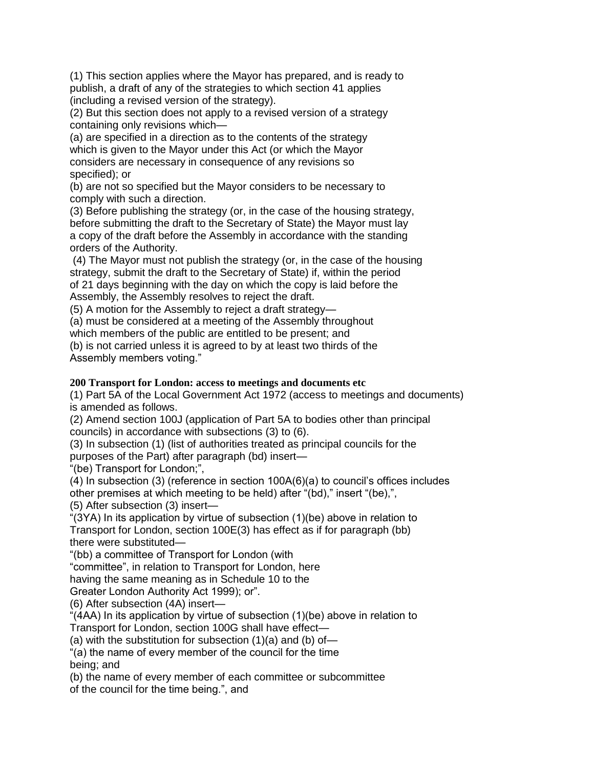(1) This section applies where the Mayor has prepared, and is ready to publish, a draft of any of the strategies to which section 41 applies (including a revised version of the strategy).

(2) But this section does not apply to a revised version of a strategy containing only revisions which—

(a) are specified in a direction as to the contents of the strategy which is given to the Mayor under this Act (or which the Mayor considers are necessary in consequence of any revisions so specified); or

(b) are not so specified but the Mayor considers to be necessary to comply with such a direction.

(3) Before publishing the strategy (or, in the case of the housing strategy, before submitting the draft to the Secretary of State) the Mayor must lay a copy of the draft before the Assembly in accordance with the standing orders of the Authority.

(4) The Mayor must not publish the strategy (or, in the case of the housing strategy, submit the draft to the Secretary of State) if, within the period of 21 days beginning with the day on which the copy is laid before the Assembly, the Assembly resolves to reject the draft.

(5) A motion for the Assembly to reject a draft strategy—

(a) must be considered at a meeting of the Assembly throughout

which members of the public are entitled to be present; and

(b) is not carried unless it is agreed to by at least two thirds of the Assembly members voting."

## **200 Transport for London: access to meetings and documents etc**

(1) Part 5A of the Local Government Act 1972 (access to meetings and documents) is amended as follows.

(2) Amend section 100J (application of Part 5A to bodies other than principal councils) in accordance with subsections (3) to (6).

(3) In subsection (1) (list of authorities treated as principal councils for the

purposes of the Part) after paragraph (bd) insert—

"(be) Transport for London;",

(4) In subsection (3) (reference in section 100A(6)(a) to council's offices includes other premises at which meeting to be held) after "(bd)," insert "(be),",

(5) After subsection (3) insert—

"(3YA) In its application by virtue of subsection (1)(be) above in relation to Transport for London, section 100E(3) has effect as if for paragraph (bb) there were substituted—

"(bb) a committee of Transport for London (with

"committee", in relation to Transport for London, here

having the same meaning as in Schedule 10 to the

Greater London Authority Act 1999); or".

(6) After subsection (4A) insert—

"(4AA) In its application by virtue of subsection (1)(be) above in relation to Transport for London, section 100G shall have effect—

(a) with the substitution for subsection  $(1)(a)$  and  $(b)$  of-

"(a) the name of every member of the council for the time being; and

(b) the name of every member of each committee or subcommittee of the council for the time being.", and